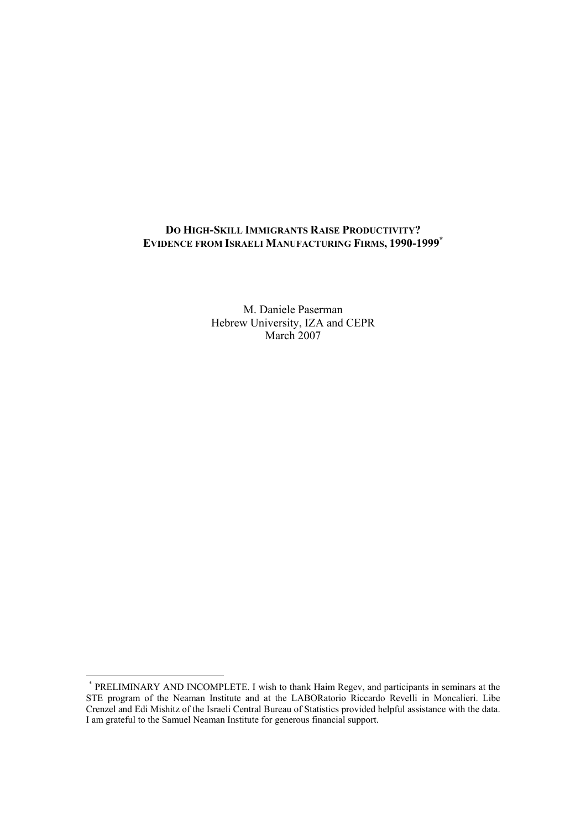## **DO HIGH-SKILL IMMIGRANTS RAISE PRODUCTIVITY? EVIDENCE FROM ISRAELI MANUFACTURING FIRMS, 1990-1999\***

M. Daniele Paserman Hebrew University, IZA and CEPR March 2007

 \* PRELIMINARY AND INCOMPLETE. I wish to thank Haim Regev, and participants in seminars at the STE program of the Neaman Institute and at the LABORatorio Riccardo Revelli in Moncalieri. Libe Crenzel and Edi Mishitz of the Israeli Central Bureau of Statistics provided helpful assistance with the data. I am grateful to the Samuel Neaman Institute for generous financial support.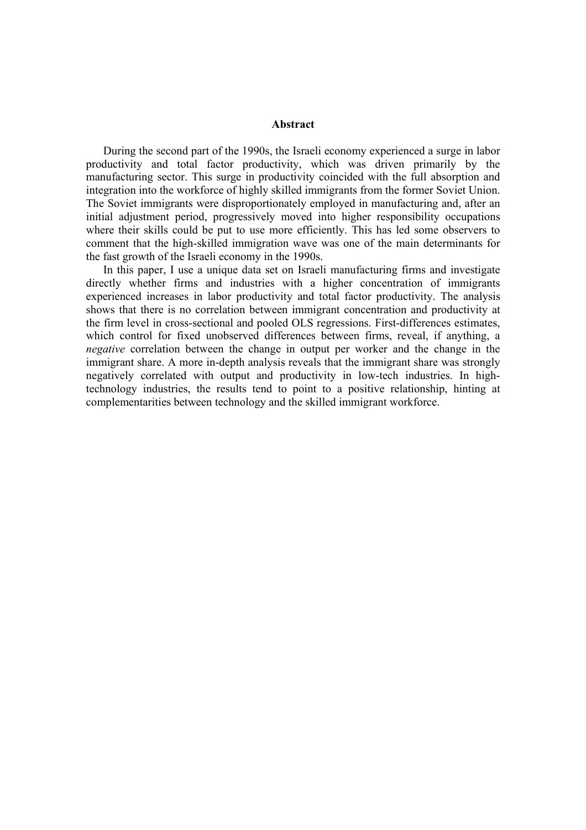#### **Abstract**

During the second part of the 1990s, the Israeli economy experienced a surge in labor productivity and total factor productivity, which was driven primarily by the manufacturing sector. This surge in productivity coincided with the full absorption and integration into the workforce of highly skilled immigrants from the former Soviet Union. The Soviet immigrants were disproportionately employed in manufacturing and, after an initial adjustment period, progressively moved into higher responsibility occupations where their skills could be put to use more efficiently. This has led some observers to comment that the high-skilled immigration wave was one of the main determinants for the fast growth of the Israeli economy in the 1990s.

In this paper, I use a unique data set on Israeli manufacturing firms and investigate directly whether firms and industries with a higher concentration of immigrants experienced increases in labor productivity and total factor productivity. The analysis shows that there is no correlation between immigrant concentration and productivity at the firm level in cross-sectional and pooled OLS regressions. First-differences estimates, which control for fixed unobserved differences between firms, reveal, if anything, a *negative* correlation between the change in output per worker and the change in the immigrant share. A more in-depth analysis reveals that the immigrant share was strongly negatively correlated with output and productivity in low-tech industries. In hightechnology industries, the results tend to point to a positive relationship, hinting at complementarities between technology and the skilled immigrant workforce.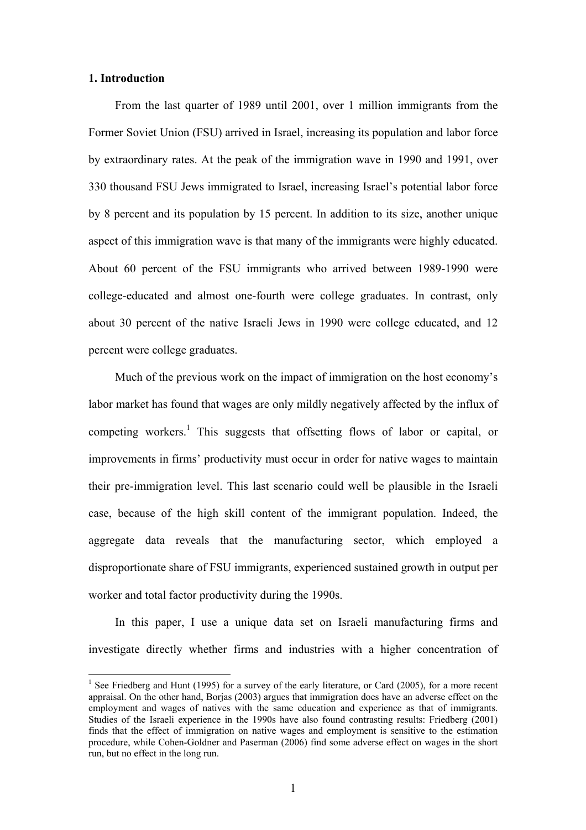### **1. Introduction**

 $\overline{a}$ 

From the last quarter of 1989 until 2001, over 1 million immigrants from the Former Soviet Union (FSU) arrived in Israel, increasing its population and labor force by extraordinary rates. At the peak of the immigration wave in 1990 and 1991, over 330 thousand FSU Jews immigrated to Israel, increasing Israel's potential labor force by 8 percent and its population by 15 percent. In addition to its size, another unique aspect of this immigration wave is that many of the immigrants were highly educated. About 60 percent of the FSU immigrants who arrived between 1989-1990 were college-educated and almost one-fourth were college graduates. In contrast, only about 30 percent of the native Israeli Jews in 1990 were college educated, and 12 percent were college graduates.

Much of the previous work on the impact of immigration on the host economy's labor market has found that wages are only mildly negatively affected by the influx of competing workers.<sup>1</sup> This suggests that offsetting flows of labor or capital, or improvements in firms' productivity must occur in order for native wages to maintain their pre-immigration level. This last scenario could well be plausible in the Israeli case, because of the high skill content of the immigrant population. Indeed, the aggregate data reveals that the manufacturing sector, which employed a disproportionate share of FSU immigrants, experienced sustained growth in output per worker and total factor productivity during the 1990s.

In this paper, I use a unique data set on Israeli manufacturing firms and investigate directly whether firms and industries with a higher concentration of

<sup>&</sup>lt;sup>1</sup> See Friedberg and Hunt (1995) for a survey of the early literature, or Card (2005), for a more recent appraisal. On the other hand, Borjas (2003) argues that immigration does have an adverse effect on the employment and wages of natives with the same education and experience as that of immigrants. Studies of the Israeli experience in the 1990s have also found contrasting results: Friedberg (2001) finds that the effect of immigration on native wages and employment is sensitive to the estimation procedure, while Cohen-Goldner and Paserman (2006) find some adverse effect on wages in the short run, but no effect in the long run.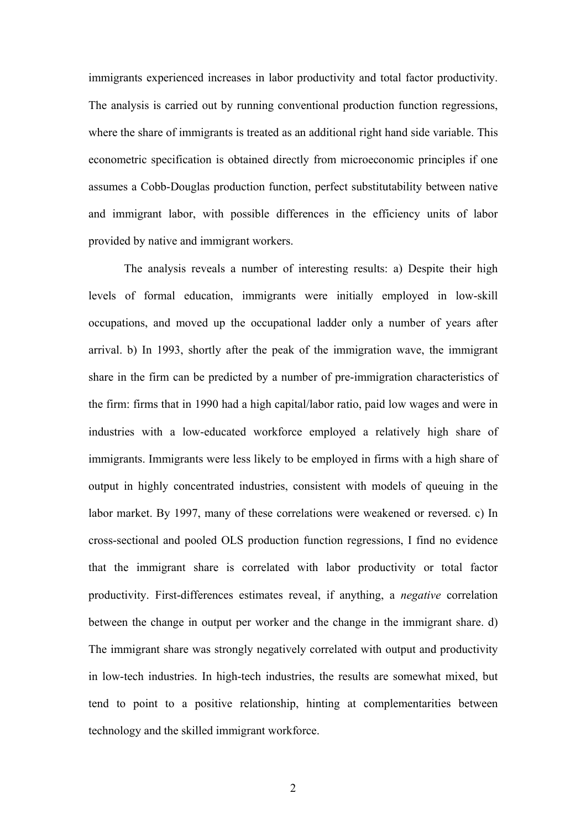immigrants experienced increases in labor productivity and total factor productivity. The analysis is carried out by running conventional production function regressions, where the share of immigrants is treated as an additional right hand side variable. This econometric specification is obtained directly from microeconomic principles if one assumes a Cobb-Douglas production function, perfect substitutability between native and immigrant labor, with possible differences in the efficiency units of labor provided by native and immigrant workers.

The analysis reveals a number of interesting results: a) Despite their high levels of formal education, immigrants were initially employed in low-skill occupations, and moved up the occupational ladder only a number of years after arrival. b) In 1993, shortly after the peak of the immigration wave, the immigrant share in the firm can be predicted by a number of pre-immigration characteristics of the firm: firms that in 1990 had a high capital/labor ratio, paid low wages and were in industries with a low-educated workforce employed a relatively high share of immigrants. Immigrants were less likely to be employed in firms with a high share of output in highly concentrated industries, consistent with models of queuing in the labor market. By 1997, many of these correlations were weakened or reversed. c) In cross-sectional and pooled OLS production function regressions, I find no evidence that the immigrant share is correlated with labor productivity or total factor productivity. First-differences estimates reveal, if anything, a *negative* correlation between the change in output per worker and the change in the immigrant share. d) The immigrant share was strongly negatively correlated with output and productivity in low-tech industries. In high-tech industries, the results are somewhat mixed, but tend to point to a positive relationship, hinting at complementarities between technology and the skilled immigrant workforce.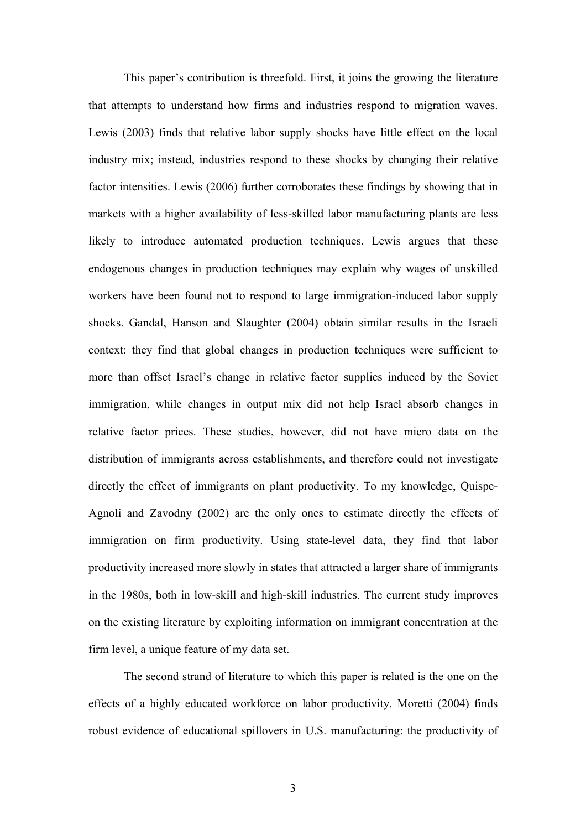This paper's contribution is threefold. First, it joins the growing the literature that attempts to understand how firms and industries respond to migration waves. Lewis (2003) finds that relative labor supply shocks have little effect on the local industry mix; instead, industries respond to these shocks by changing their relative factor intensities. Lewis (2006) further corroborates these findings by showing that in markets with a higher availability of less-skilled labor manufacturing plants are less likely to introduce automated production techniques. Lewis argues that these endogenous changes in production techniques may explain why wages of unskilled workers have been found not to respond to large immigration-induced labor supply shocks. Gandal, Hanson and Slaughter (2004) obtain similar results in the Israeli context: they find that global changes in production techniques were sufficient to more than offset Israel's change in relative factor supplies induced by the Soviet immigration, while changes in output mix did not help Israel absorb changes in relative factor prices. These studies, however, did not have micro data on the distribution of immigrants across establishments, and therefore could not investigate directly the effect of immigrants on plant productivity. To my knowledge, Quispe-Agnoli and Zavodny (2002) are the only ones to estimate directly the effects of immigration on firm productivity. Using state-level data, they find that labor productivity increased more slowly in states that attracted a larger share of immigrants in the 1980s, both in low-skill and high-skill industries. The current study improves on the existing literature by exploiting information on immigrant concentration at the firm level, a unique feature of my data set.

The second strand of literature to which this paper is related is the one on the effects of a highly educated workforce on labor productivity. Moretti (2004) finds robust evidence of educational spillovers in U.S. manufacturing: the productivity of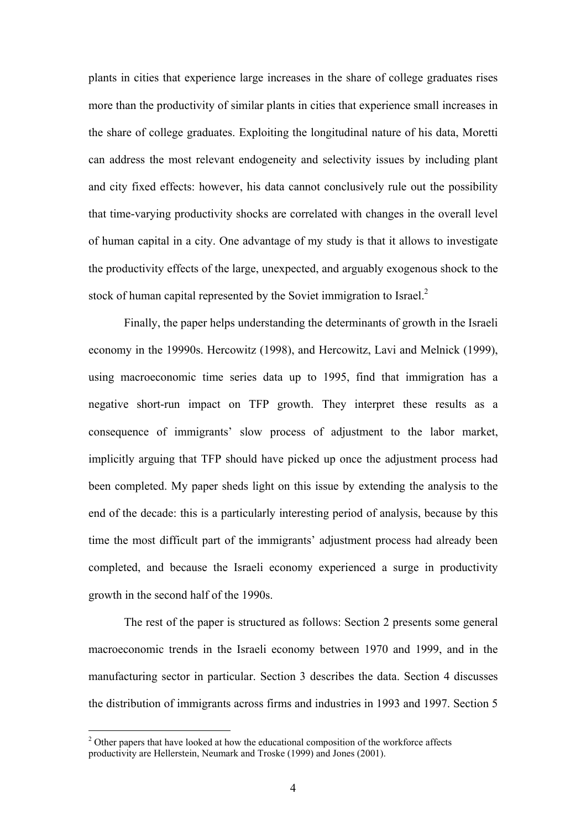plants in cities that experience large increases in the share of college graduates rises more than the productivity of similar plants in cities that experience small increases in the share of college graduates. Exploiting the longitudinal nature of his data, Moretti can address the most relevant endogeneity and selectivity issues by including plant and city fixed effects: however, his data cannot conclusively rule out the possibility that time-varying productivity shocks are correlated with changes in the overall level of human capital in a city. One advantage of my study is that it allows to investigate the productivity effects of the large, unexpected, and arguably exogenous shock to the stock of human capital represented by the Soviet immigration to Israel.<sup>2</sup>

Finally, the paper helps understanding the determinants of growth in the Israeli economy in the 19990s. Hercowitz (1998), and Hercowitz, Lavi and Melnick (1999), using macroeconomic time series data up to 1995, find that immigration has a negative short-run impact on TFP growth. They interpret these results as a consequence of immigrants' slow process of adjustment to the labor market, implicitly arguing that TFP should have picked up once the adjustment process had been completed. My paper sheds light on this issue by extending the analysis to the end of the decade: this is a particularly interesting period of analysis, because by this time the most difficult part of the immigrants' adjustment process had already been completed, and because the Israeli economy experienced a surge in productivity growth in the second half of the 1990s.

The rest of the paper is structured as follows: Section 2 presents some general macroeconomic trends in the Israeli economy between 1970 and 1999, and in the manufacturing sector in particular. Section 3 describes the data. Section 4 discusses the distribution of immigrants across firms and industries in 1993 and 1997. Section 5

 $2$  Other papers that have looked at how the educational composition of the workforce affects productivity are Hellerstein, Neumark and Troske (1999) and Jones (2001).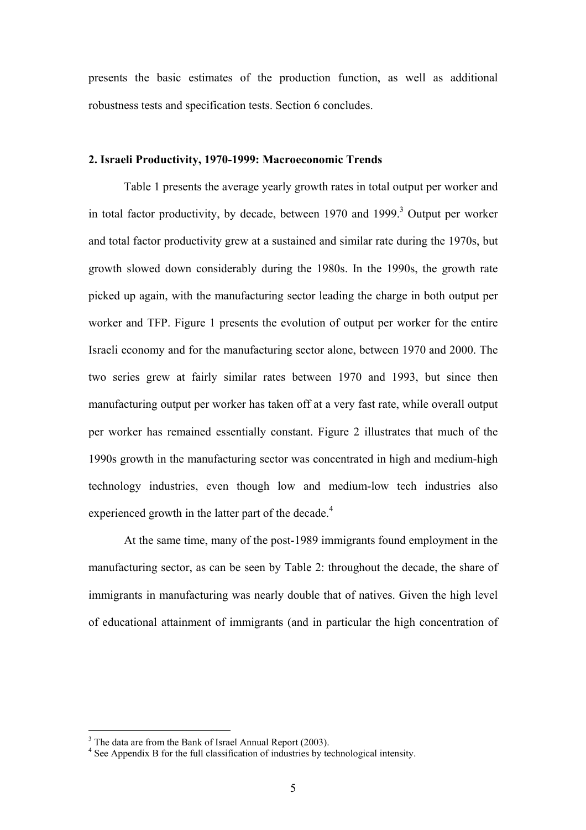presents the basic estimates of the production function, as well as additional robustness tests and specification tests. Section 6 concludes.

### **2. Israeli Productivity, 1970-1999: Macroeconomic Trends**

 Table 1 presents the average yearly growth rates in total output per worker and in total factor productivity, by decade, between  $1970$  and  $1999$ .<sup>3</sup> Output per worker and total factor productivity grew at a sustained and similar rate during the 1970s, but growth slowed down considerably during the 1980s. In the 1990s, the growth rate picked up again, with the manufacturing sector leading the charge in both output per worker and TFP. Figure 1 presents the evolution of output per worker for the entire Israeli economy and for the manufacturing sector alone, between 1970 and 2000. The two series grew at fairly similar rates between 1970 and 1993, but since then manufacturing output per worker has taken off at a very fast rate, while overall output per worker has remained essentially constant. Figure 2 illustrates that much of the 1990s growth in the manufacturing sector was concentrated in high and medium-high technology industries, even though low and medium-low tech industries also experienced growth in the latter part of the decade.<sup>4</sup>

 At the same time, many of the post-1989 immigrants found employment in the manufacturing sector, as can be seen by Table 2: throughout the decade, the share of immigrants in manufacturing was nearly double that of natives. Given the high level of educational attainment of immigrants (and in particular the high concentration of

 $3$  The data are from the Bank of Israel Annual Report (2003).

<sup>&</sup>lt;sup>4</sup> See Appendix B for the full classification of industries by technological intensity.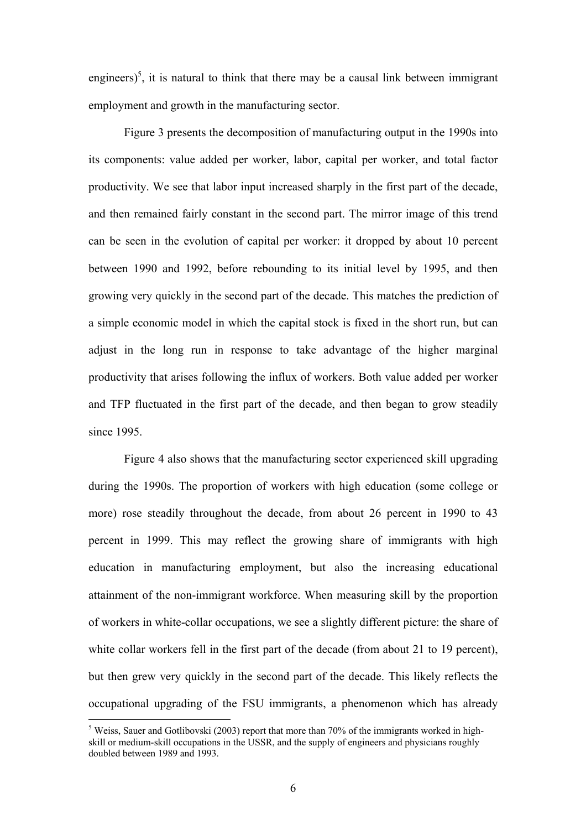engineers)<sup>5</sup>, it is natural to think that there may be a causal link between immigrant employment and growth in the manufacturing sector.

 Figure 3 presents the decomposition of manufacturing output in the 1990s into its components: value added per worker, labor, capital per worker, and total factor productivity. We see that labor input increased sharply in the first part of the decade, and then remained fairly constant in the second part. The mirror image of this trend can be seen in the evolution of capital per worker: it dropped by about 10 percent between 1990 and 1992, before rebounding to its initial level by 1995, and then growing very quickly in the second part of the decade. This matches the prediction of a simple economic model in which the capital stock is fixed in the short run, but can adjust in the long run in response to take advantage of the higher marginal productivity that arises following the influx of workers. Both value added per worker and TFP fluctuated in the first part of the decade, and then began to grow steadily since 1995.

 Figure 4 also shows that the manufacturing sector experienced skill upgrading during the 1990s. The proportion of workers with high education (some college or more) rose steadily throughout the decade, from about 26 percent in 1990 to 43 percent in 1999. This may reflect the growing share of immigrants with high education in manufacturing employment, but also the increasing educational attainment of the non-immigrant workforce. When measuring skill by the proportion of workers in white-collar occupations, we see a slightly different picture: the share of white collar workers fell in the first part of the decade (from about 21 to 19 percent), but then grew very quickly in the second part of the decade. This likely reflects the occupational upgrading of the FSU immigrants, a phenomenon which has already

<sup>&</sup>lt;sup>5</sup> Weiss, Sauer and Gotlibovski (2003) report that more than 70% of the immigrants worked in highskill or medium-skill occupations in the USSR, and the supply of engineers and physicians roughly doubled between 1989 and 1993.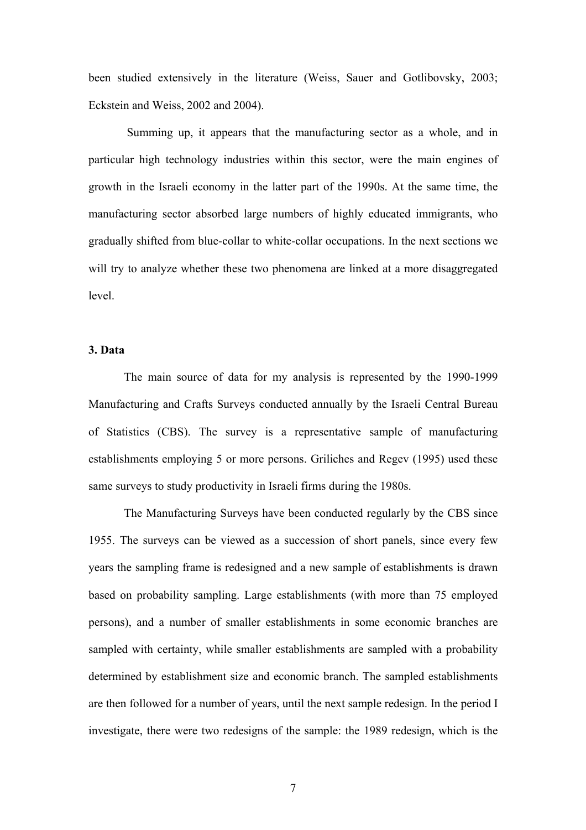been studied extensively in the literature (Weiss, Sauer and Gotlibovsky, 2003; Eckstein and Weiss, 2002 and 2004).

 Summing up, it appears that the manufacturing sector as a whole, and in particular high technology industries within this sector, were the main engines of growth in the Israeli economy in the latter part of the 1990s. At the same time, the manufacturing sector absorbed large numbers of highly educated immigrants, who gradually shifted from blue-collar to white-collar occupations. In the next sections we will try to analyze whether these two phenomena are linked at a more disaggregated level.

## **3. Data**

The main source of data for my analysis is represented by the 1990-1999 Manufacturing and Crafts Surveys conducted annually by the Israeli Central Bureau of Statistics (CBS). The survey is a representative sample of manufacturing establishments employing 5 or more persons. Griliches and Regev (1995) used these same surveys to study productivity in Israeli firms during the 1980s.

 The Manufacturing Surveys have been conducted regularly by the CBS since 1955. The surveys can be viewed as a succession of short panels, since every few years the sampling frame is redesigned and a new sample of establishments is drawn based on probability sampling. Large establishments (with more than 75 employed persons), and a number of smaller establishments in some economic branches are sampled with certainty, while smaller establishments are sampled with a probability determined by establishment size and economic branch. The sampled establishments are then followed for a number of years, until the next sample redesign. In the period I investigate, there were two redesigns of the sample: the 1989 redesign, which is the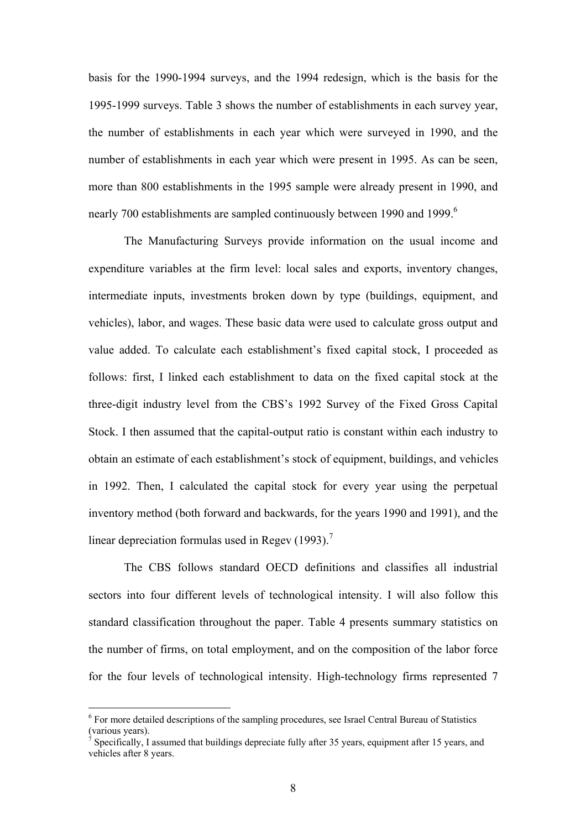basis for the 1990-1994 surveys, and the 1994 redesign, which is the basis for the 1995-1999 surveys. Table 3 shows the number of establishments in each survey year, the number of establishments in each year which were surveyed in 1990, and the number of establishments in each year which were present in 1995. As can be seen, more than 800 establishments in the 1995 sample were already present in 1990, and nearly 700 establishments are sampled continuously between 1990 and 1999.<sup>6</sup>

 The Manufacturing Surveys provide information on the usual income and expenditure variables at the firm level: local sales and exports, inventory changes, intermediate inputs, investments broken down by type (buildings, equipment, and vehicles), labor, and wages. These basic data were used to calculate gross output and value added. To calculate each establishment's fixed capital stock, I proceeded as follows: first, I linked each establishment to data on the fixed capital stock at the three-digit industry level from the CBS's 1992 Survey of the Fixed Gross Capital Stock. I then assumed that the capital-output ratio is constant within each industry to obtain an estimate of each establishment's stock of equipment, buildings, and vehicles in 1992. Then, I calculated the capital stock for every year using the perpetual inventory method (both forward and backwards, for the years 1990 and 1991), and the linear depreciation formulas used in Regev (1993).<sup>7</sup>

 The CBS follows standard OECD definitions and classifies all industrial sectors into four different levels of technological intensity. I will also follow this standard classification throughout the paper. Table 4 presents summary statistics on the number of firms, on total employment, and on the composition of the labor force for the four levels of technological intensity. High-technology firms represented 7

 $6$  For more detailed descriptions of the sampling procedures, see Israel Central Bureau of Statistics (various years).

<sup>7</sup> Specifically, I assumed that buildings depreciate fully after 35 years, equipment after 15 years, and vehicles after 8 years.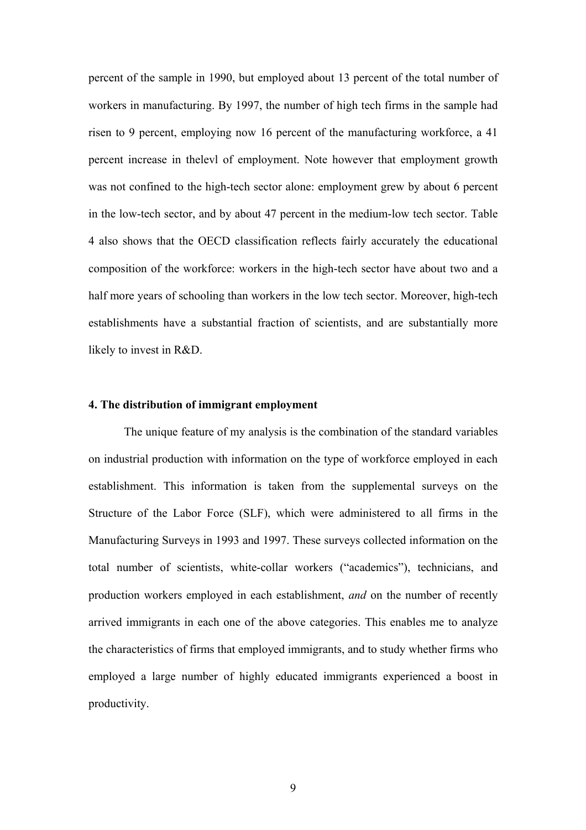percent of the sample in 1990, but employed about 13 percent of the total number of workers in manufacturing. By 1997, the number of high tech firms in the sample had risen to 9 percent, employing now 16 percent of the manufacturing workforce, a 41 percent increase in thelevl of employment. Note however that employment growth was not confined to the high-tech sector alone: employment grew by about 6 percent in the low-tech sector, and by about 47 percent in the medium-low tech sector. Table 4 also shows that the OECD classification reflects fairly accurately the educational composition of the workforce: workers in the high-tech sector have about two and a half more years of schooling than workers in the low tech sector. Moreover, high-tech establishments have a substantial fraction of scientists, and are substantially more likely to invest in R&D.

### **4. The distribution of immigrant employment**

The unique feature of my analysis is the combination of the standard variables on industrial production with information on the type of workforce employed in each establishment. This information is taken from the supplemental surveys on the Structure of the Labor Force (SLF), which were administered to all firms in the Manufacturing Surveys in 1993 and 1997. These surveys collected information on the total number of scientists, white-collar workers ("academics"), technicians, and production workers employed in each establishment, *and* on the number of recently arrived immigrants in each one of the above categories. This enables me to analyze the characteristics of firms that employed immigrants, and to study whether firms who employed a large number of highly educated immigrants experienced a boost in productivity.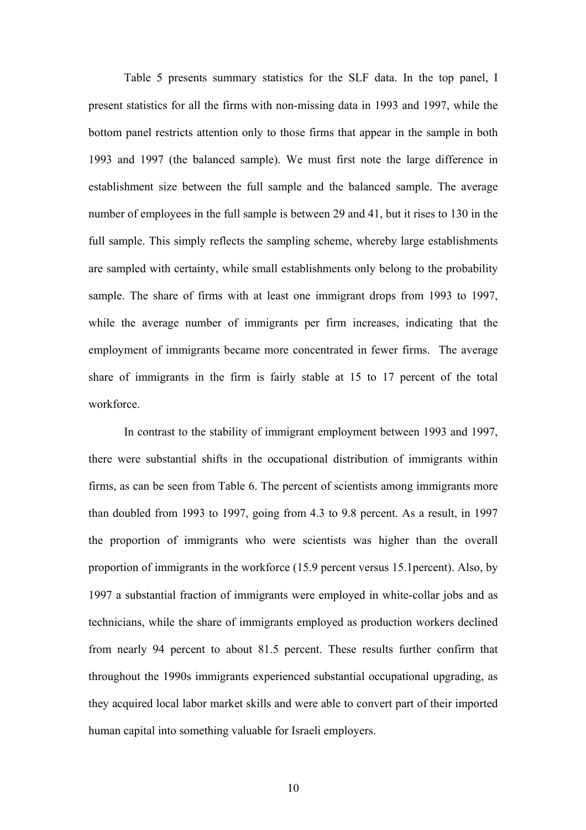Table 5 presents summary statistics for the SLF data. In the top panel, I present statistics for all the firms with non-missing data in 1993 and 1997, while the bottom panel restricts attention only to those firms that appear in the sample in both 1993 and 1997 (the balanced sample). We must first note the large difference in establishment size between the full sample and the balanced sample. The average number of employees in the full sample is between 29 and 41, but it rises to 130 in the full sample. This simply reflects the sampling scheme, whereby large establishments are sampled with certainty, while small establishments only belong to the probability sample. The share of firms with at least one immigrant drops from 1993 to 1997, while the average number of immigrants per firm increases, indicating that the employment of immigrants became more concentrated in fewer firms. The average share of immigrants in the firm is fairly stable at 15 to 17 percent of the total workforce.

 In contrast to the stability of immigrant employment between 1993 and 1997, there were substantial shifts in the occupational distribution of immigrants within firms, as can be seen from Table 6. The percent of scientists among immigrants more than doubled from 1993 to 1997, going from 4.3 to 9.8 percent. As a result, in 1997 the proportion of immigrants who were scientists was higher than the overall proportion of immigrants in the workforce (15.9 percent versus 15.1percent). Also, by 1997 a substantial fraction of immigrants were employed in white-collar jobs and as technicians, while the share of immigrants employed as production workers declined from nearly 94 percent to about 81.5 percent. These results further confirm that throughout the 1990s immigrants experienced substantial occupational upgrading, as they acquired local labor market skills and were able to convert part of their imported human capital into something valuable for Israeli employers.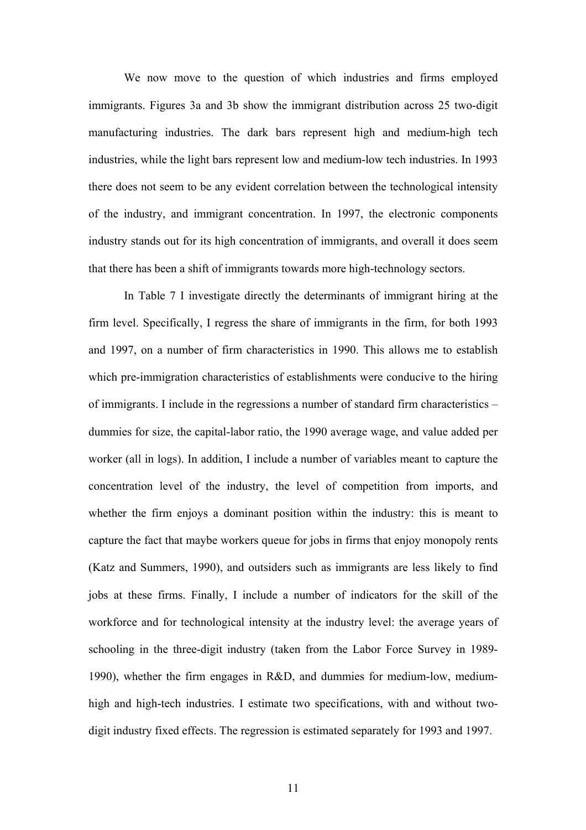We now move to the question of which industries and firms employed immigrants. Figures 3a and 3b show the immigrant distribution across 25 two-digit manufacturing industries. The dark bars represent high and medium-high tech industries, while the light bars represent low and medium-low tech industries. In 1993 there does not seem to be any evident correlation between the technological intensity of the industry, and immigrant concentration. In 1997, the electronic components industry stands out for its high concentration of immigrants, and overall it does seem that there has been a shift of immigrants towards more high-technology sectors.

In Table 7 I investigate directly the determinants of immigrant hiring at the firm level. Specifically, I regress the share of immigrants in the firm, for both 1993 and 1997, on a number of firm characteristics in 1990. This allows me to establish which pre-immigration characteristics of establishments were conducive to the hiring of immigrants. I include in the regressions a number of standard firm characteristics – dummies for size, the capital-labor ratio, the 1990 average wage, and value added per worker (all in logs). In addition, I include a number of variables meant to capture the concentration level of the industry, the level of competition from imports, and whether the firm enjoys a dominant position within the industry: this is meant to capture the fact that maybe workers queue for jobs in firms that enjoy monopoly rents (Katz and Summers, 1990), and outsiders such as immigrants are less likely to find jobs at these firms. Finally, I include a number of indicators for the skill of the workforce and for technological intensity at the industry level: the average years of schooling in the three-digit industry (taken from the Labor Force Survey in 1989- 1990), whether the firm engages in R&D, and dummies for medium-low, mediumhigh and high-tech industries. I estimate two specifications, with and without twodigit industry fixed effects. The regression is estimated separately for 1993 and 1997.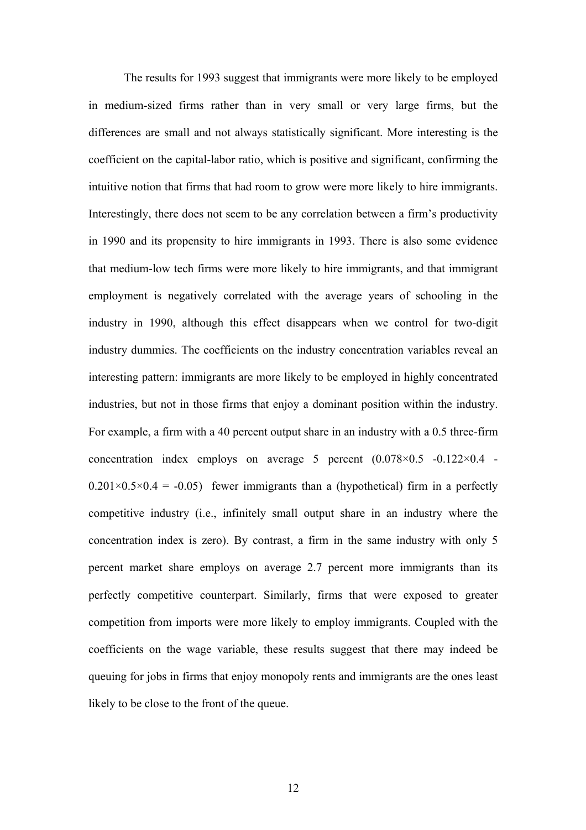The results for 1993 suggest that immigrants were more likely to be employed in medium-sized firms rather than in very small or very large firms, but the differences are small and not always statistically significant. More interesting is the coefficient on the capital-labor ratio, which is positive and significant, confirming the intuitive notion that firms that had room to grow were more likely to hire immigrants. Interestingly, there does not seem to be any correlation between a firm's productivity in 1990 and its propensity to hire immigrants in 1993. There is also some evidence that medium-low tech firms were more likely to hire immigrants, and that immigrant employment is negatively correlated with the average years of schooling in the industry in 1990, although this effect disappears when we control for two-digit industry dummies. The coefficients on the industry concentration variables reveal an interesting pattern: immigrants are more likely to be employed in highly concentrated industries, but not in those firms that enjoy a dominant position within the industry. For example, a firm with a 40 percent output share in an industry with a 0.5 three-firm concentration index employs on average 5 percent  $(0.078 \times 0.5 \div 0.122 \times 0.4 \div 0.012 \times 0.01)$  $0.201 \times 0.5 \times 0.4 = -0.05$ ) fewer immigrants than a (hypothetical) firm in a perfectly competitive industry (i.e., infinitely small output share in an industry where the concentration index is zero). By contrast, a firm in the same industry with only 5 percent market share employs on average 2.7 percent more immigrants than its perfectly competitive counterpart. Similarly, firms that were exposed to greater competition from imports were more likely to employ immigrants. Coupled with the coefficients on the wage variable, these results suggest that there may indeed be queuing for jobs in firms that enjoy monopoly rents and immigrants are the ones least likely to be close to the front of the queue.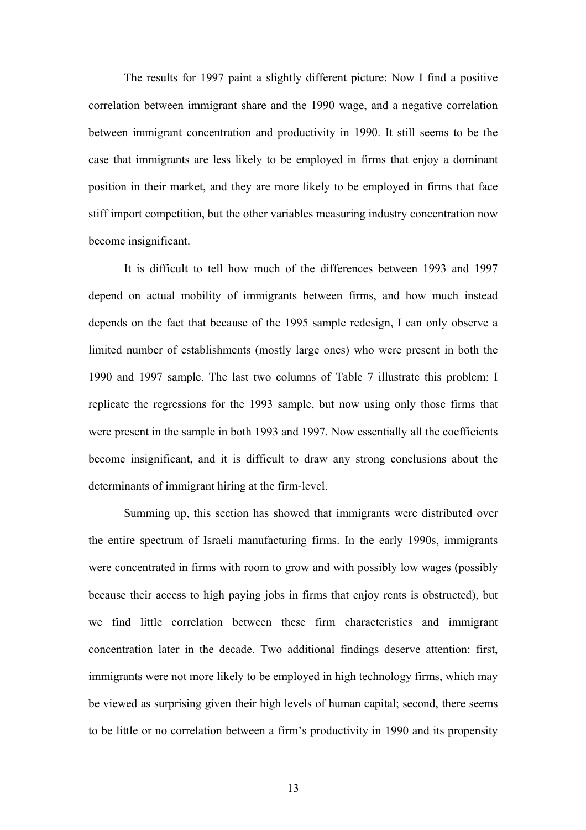The results for 1997 paint a slightly different picture: Now I find a positive correlation between immigrant share and the 1990 wage, and a negative correlation between immigrant concentration and productivity in 1990. It still seems to be the case that immigrants are less likely to be employed in firms that enjoy a dominant position in their market, and they are more likely to be employed in firms that face stiff import competition, but the other variables measuring industry concentration now become insignificant.

 It is difficult to tell how much of the differences between 1993 and 1997 depend on actual mobility of immigrants between firms, and how much instead depends on the fact that because of the 1995 sample redesign, I can only observe a limited number of establishments (mostly large ones) who were present in both the 1990 and 1997 sample. The last two columns of Table 7 illustrate this problem: I replicate the regressions for the 1993 sample, but now using only those firms that were present in the sample in both 1993 and 1997. Now essentially all the coefficients become insignificant, and it is difficult to draw any strong conclusions about the determinants of immigrant hiring at the firm-level.

 Summing up, this section has showed that immigrants were distributed over the entire spectrum of Israeli manufacturing firms. In the early 1990s, immigrants were concentrated in firms with room to grow and with possibly low wages (possibly because their access to high paying jobs in firms that enjoy rents is obstructed), but we find little correlation between these firm characteristics and immigrant concentration later in the decade. Two additional findings deserve attention: first, immigrants were not more likely to be employed in high technology firms, which may be viewed as surprising given their high levels of human capital; second, there seems to be little or no correlation between a firm's productivity in 1990 and its propensity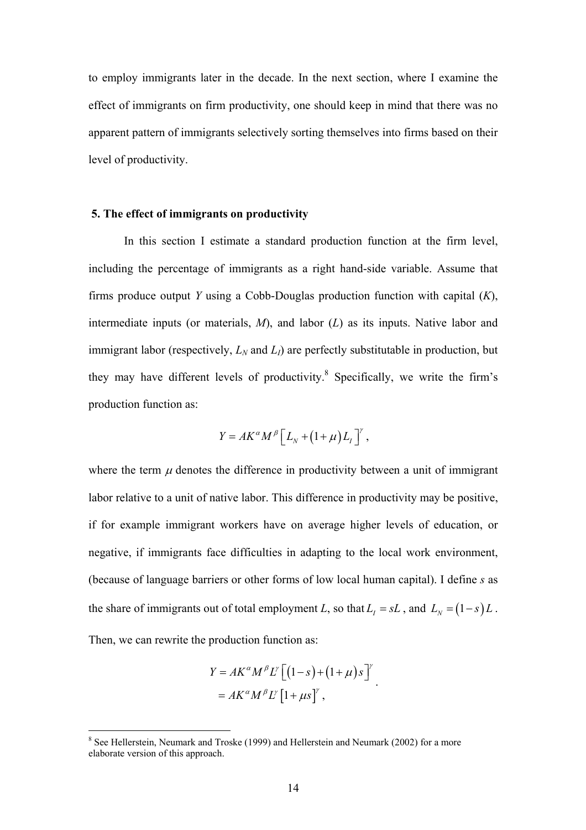to employ immigrants later in the decade. In the next section, where I examine the effect of immigrants on firm productivity, one should keep in mind that there was no apparent pattern of immigrants selectively sorting themselves into firms based on their level of productivity.

## **5. The effect of immigrants on productivity**

 In this section I estimate a standard production function at the firm level, including the percentage of immigrants as a right hand-side variable. Assume that firms produce output *Y* using a Cobb-Douglas production function with capital (*K*), intermediate inputs (or materials, *M*), and labor (*L*) as its inputs. Native labor and immigrant labor (respectively,  $L_N$  and  $L_l$ ) are perfectly substitutable in production, but they may have different levels of productivity.<sup>8</sup> Specifically, we write the firm's production function as:

$$
Y = AK^{\alpha}M^{\beta}\left[L_{N}+(1+\mu)L_{I}\right]^{y},
$$

where the term  $\mu$  denotes the difference in productivity between a unit of immigrant labor relative to a unit of native labor. This difference in productivity may be positive, if for example immigrant workers have on average higher levels of education, or negative, if immigrants face difficulties in adapting to the local work environment, (because of language barriers or other forms of low local human capital). I define *s* as the share of immigrants out of total employment *L*, so that  $L<sub>I</sub> = sL$ , and  $L<sub>N</sub> = (1-s)L$ . Then, we can rewrite the production function as:

$$
Y = AK^{\alpha}M^{\beta}L^{\gamma}\left[\left(1-s\right)+\left(1+\mu\right)s\right]^{\gamma}
$$

$$
= AK^{\alpha}M^{\beta}L^{\gamma}\left[1+\mu s\right]^{\gamma},
$$

<sup>&</sup>lt;sup>8</sup> See Hellerstein, Neumark and Troske (1999) and Hellerstein and Neumark (2002) for a more elaborate version of this approach.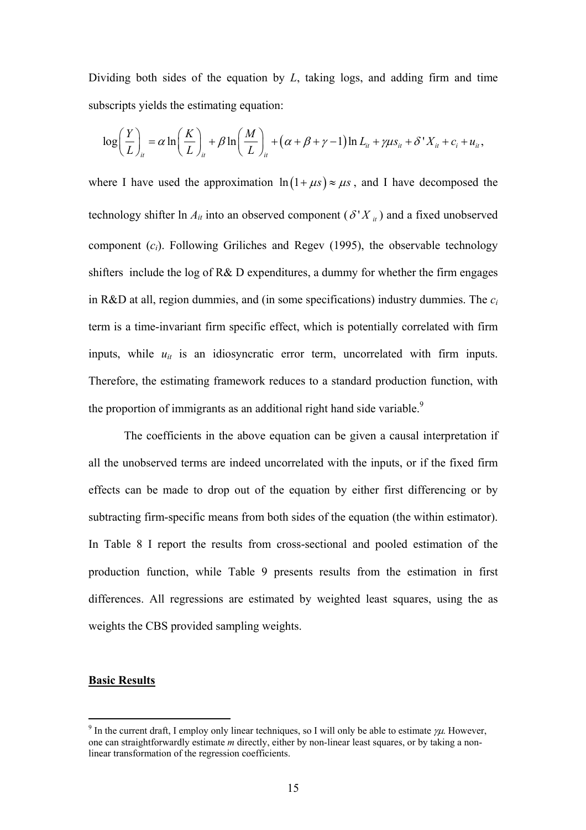Dividing both sides of the equation by *L*, taking logs, and adding firm and time subscripts yields the estimating equation:

$$
\log\left(\frac{Y}{L}\right)_{it} = \alpha \ln\left(\frac{K}{L}\right)_{it} + \beta \ln\left(\frac{M}{L}\right)_{it} + (\alpha + \beta + \gamma - 1) \ln L_{it} + \gamma \mu s_{it} + \delta' X_{it} + c_i + u_{it},
$$

where I have used the approximation  $\ln(1 + \mu s) \approx \mu s$ , and I have decomposed the technology shifter ln  $A_{it}$  into an observed component ( $\delta' X_{it}$ ) and a fixed unobserved component (*ci*). Following Griliches and Regev (1995), the observable technology shifters include the log of R& D expenditures, a dummy for whether the firm engages in R&D at all, region dummies, and (in some specifications) industry dummies. The *ci* term is a time-invariant firm specific effect, which is potentially correlated with firm inputs, while  $u_{it}$  is an idiosyncratic error term, uncorrelated with firm inputs. Therefore, the estimating framework reduces to a standard production function, with the proportion of immigrants as an additional right hand side variable.<sup>9</sup>

 The coefficients in the above equation can be given a causal interpretation if all the unobserved terms are indeed uncorrelated with the inputs, or if the fixed firm effects can be made to drop out of the equation by either first differencing or by subtracting firm-specific means from both sides of the equation (the within estimator). In Table 8 I report the results from cross-sectional and pooled estimation of the production function, while Table 9 presents results from the estimation in first differences. All regressions are estimated by weighted least squares, using the as weights the CBS provided sampling weights.

## **Basic Results**

<sup>&</sup>lt;sup>9</sup> In the current draft, I employ only linear techniques, so I will only be able to estimate  $\gamma\mu$ . However, one can straightforwardly estimate *m* directly, either by non-linear least squares, or by taking a nonlinear transformation of the regression coefficients.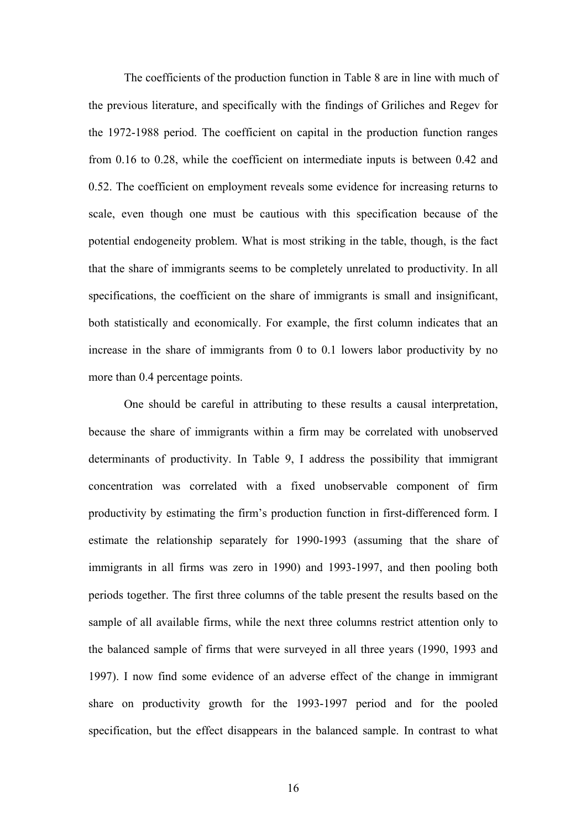The coefficients of the production function in Table 8 are in line with much of the previous literature, and specifically with the findings of Griliches and Regev for the 1972-1988 period. The coefficient on capital in the production function ranges from 0.16 to 0.28, while the coefficient on intermediate inputs is between 0.42 and 0.52. The coefficient on employment reveals some evidence for increasing returns to scale, even though one must be cautious with this specification because of the potential endogeneity problem. What is most striking in the table, though, is the fact that the share of immigrants seems to be completely unrelated to productivity. In all specifications, the coefficient on the share of immigrants is small and insignificant, both statistically and economically. For example, the first column indicates that an increase in the share of immigrants from 0 to 0.1 lowers labor productivity by no more than 0.4 percentage points.

One should be careful in attributing to these results a causal interpretation, because the share of immigrants within a firm may be correlated with unobserved determinants of productivity. In Table 9, I address the possibility that immigrant concentration was correlated with a fixed unobservable component of firm productivity by estimating the firm's production function in first-differenced form. I estimate the relationship separately for 1990-1993 (assuming that the share of immigrants in all firms was zero in 1990) and 1993-1997, and then pooling both periods together. The first three columns of the table present the results based on the sample of all available firms, while the next three columns restrict attention only to the balanced sample of firms that were surveyed in all three years (1990, 1993 and 1997). I now find some evidence of an adverse effect of the change in immigrant share on productivity growth for the 1993-1997 period and for the pooled specification, but the effect disappears in the balanced sample. In contrast to what

16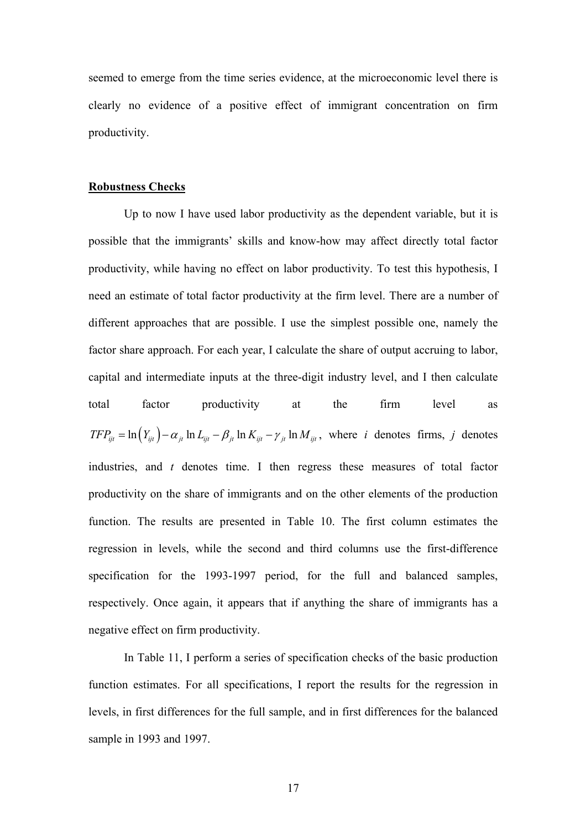seemed to emerge from the time series evidence, at the microeconomic level there is clearly no evidence of a positive effect of immigrant concentration on firm productivity.

### **Robustness Checks**

 Up to now I have used labor productivity as the dependent variable, but it is possible that the immigrants' skills and know-how may affect directly total factor productivity, while having no effect on labor productivity. To test this hypothesis, I need an estimate of total factor productivity at the firm level. There are a number of different approaches that are possible. I use the simplest possible one, namely the factor share approach. For each year, I calculate the share of output accruing to labor, capital and intermediate inputs at the three-digit industry level, and I then calculate total factor productivity at the firm level as  $TFP_{ijt} = \ln(Y_{ijt}) - \alpha_{jt} \ln Z_{ijt} - \beta_{jt} \ln K_{ijt} - \gamma_{jt} \ln M_{ijt}$ , where *i* denotes firms, *j* denotes industries, and *t* denotes time. I then regress these measures of total factor productivity on the share of immigrants and on the other elements of the production function. The results are presented in Table 10. The first column estimates the regression in levels, while the second and third columns use the first-difference specification for the 1993-1997 period, for the full and balanced samples, respectively. Once again, it appears that if anything the share of immigrants has a negative effect on firm productivity.

 In Table 11, I perform a series of specification checks of the basic production function estimates. For all specifications, I report the results for the regression in levels, in first differences for the full sample, and in first differences for the balanced sample in 1993 and 1997.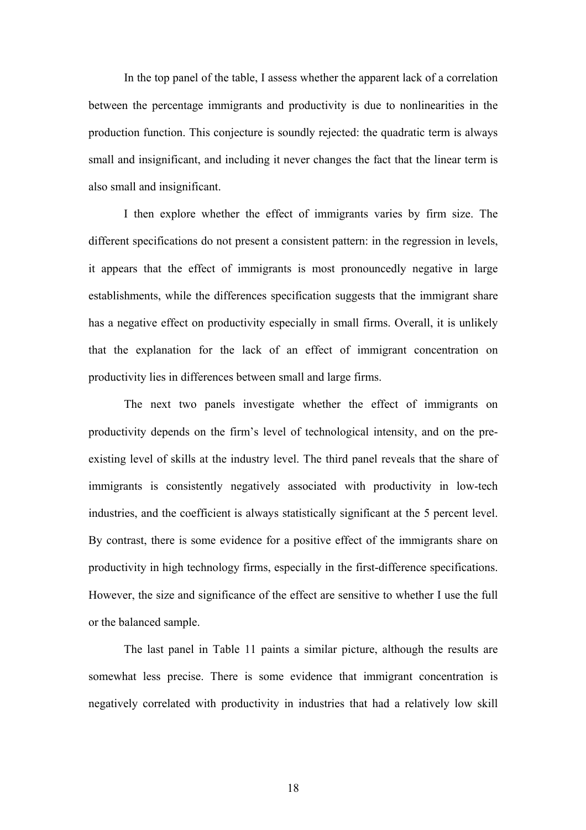In the top panel of the table, I assess whether the apparent lack of a correlation between the percentage immigrants and productivity is due to nonlinearities in the production function. This conjecture is soundly rejected: the quadratic term is always small and insignificant, and including it never changes the fact that the linear term is also small and insignificant.

 I then explore whether the effect of immigrants varies by firm size. The different specifications do not present a consistent pattern: in the regression in levels, it appears that the effect of immigrants is most pronouncedly negative in large establishments, while the differences specification suggests that the immigrant share has a negative effect on productivity especially in small firms. Overall, it is unlikely that the explanation for the lack of an effect of immigrant concentration on productivity lies in differences between small and large firms.

 The next two panels investigate whether the effect of immigrants on productivity depends on the firm's level of technological intensity, and on the preexisting level of skills at the industry level. The third panel reveals that the share of immigrants is consistently negatively associated with productivity in low-tech industries, and the coefficient is always statistically significant at the 5 percent level. By contrast, there is some evidence for a positive effect of the immigrants share on productivity in high technology firms, especially in the first-difference specifications. However, the size and significance of the effect are sensitive to whether I use the full or the balanced sample.

 The last panel in Table 11 paints a similar picture, although the results are somewhat less precise. There is some evidence that immigrant concentration is negatively correlated with productivity in industries that had a relatively low skill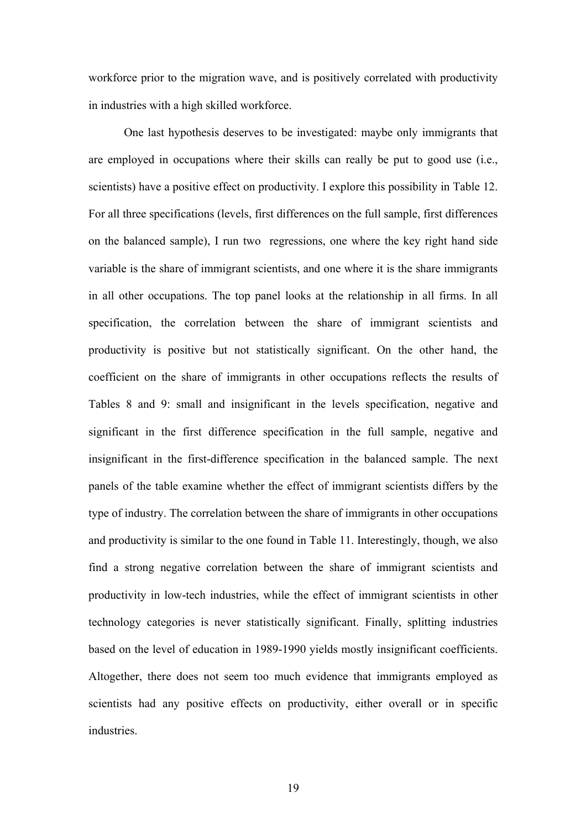workforce prior to the migration wave, and is positively correlated with productivity in industries with a high skilled workforce.

 One last hypothesis deserves to be investigated: maybe only immigrants that are employed in occupations where their skills can really be put to good use (i.e., scientists) have a positive effect on productivity. I explore this possibility in Table 12. For all three specifications (levels, first differences on the full sample, first differences on the balanced sample), I run two regressions, one where the key right hand side variable is the share of immigrant scientists, and one where it is the share immigrants in all other occupations. The top panel looks at the relationship in all firms. In all specification, the correlation between the share of immigrant scientists and productivity is positive but not statistically significant. On the other hand, the coefficient on the share of immigrants in other occupations reflects the results of Tables 8 and 9: small and insignificant in the levels specification, negative and significant in the first difference specification in the full sample, negative and insignificant in the first-difference specification in the balanced sample. The next panels of the table examine whether the effect of immigrant scientists differs by the type of industry. The correlation between the share of immigrants in other occupations and productivity is similar to the one found in Table 11. Interestingly, though, we also find a strong negative correlation between the share of immigrant scientists and productivity in low-tech industries, while the effect of immigrant scientists in other technology categories is never statistically significant. Finally, splitting industries based on the level of education in 1989-1990 yields mostly insignificant coefficients. Altogether, there does not seem too much evidence that immigrants employed as scientists had any positive effects on productivity, either overall or in specific **industries** 

19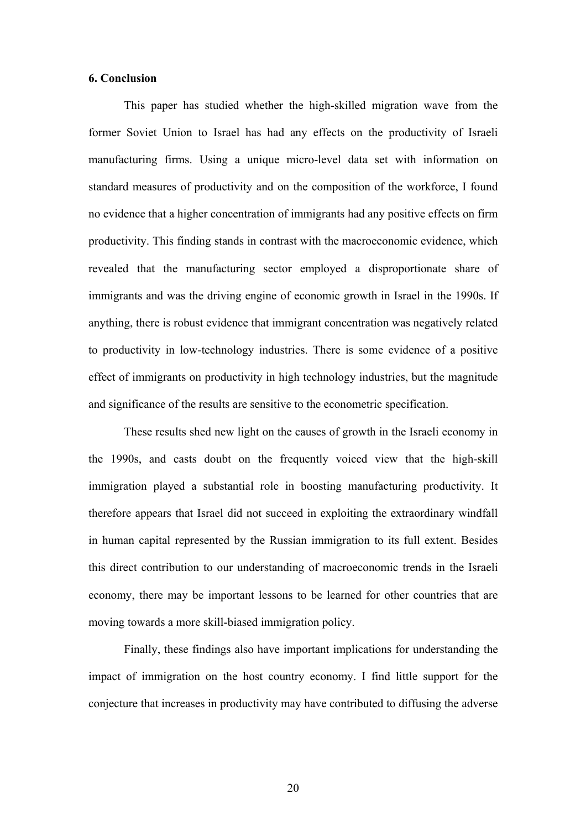#### **6. Conclusion**

 This paper has studied whether the high-skilled migration wave from the former Soviet Union to Israel has had any effects on the productivity of Israeli manufacturing firms. Using a unique micro-level data set with information on standard measures of productivity and on the composition of the workforce, I found no evidence that a higher concentration of immigrants had any positive effects on firm productivity. This finding stands in contrast with the macroeconomic evidence, which revealed that the manufacturing sector employed a disproportionate share of immigrants and was the driving engine of economic growth in Israel in the 1990s. If anything, there is robust evidence that immigrant concentration was negatively related to productivity in low-technology industries. There is some evidence of a positive effect of immigrants on productivity in high technology industries, but the magnitude and significance of the results are sensitive to the econometric specification.

 These results shed new light on the causes of growth in the Israeli economy in the 1990s, and casts doubt on the frequently voiced view that the high-skill immigration played a substantial role in boosting manufacturing productivity. It therefore appears that Israel did not succeed in exploiting the extraordinary windfall in human capital represented by the Russian immigration to its full extent. Besides this direct contribution to our understanding of macroeconomic trends in the Israeli economy, there may be important lessons to be learned for other countries that are moving towards a more skill-biased immigration policy.

 Finally, these findings also have important implications for understanding the impact of immigration on the host country economy. I find little support for the conjecture that increases in productivity may have contributed to diffusing the adverse

20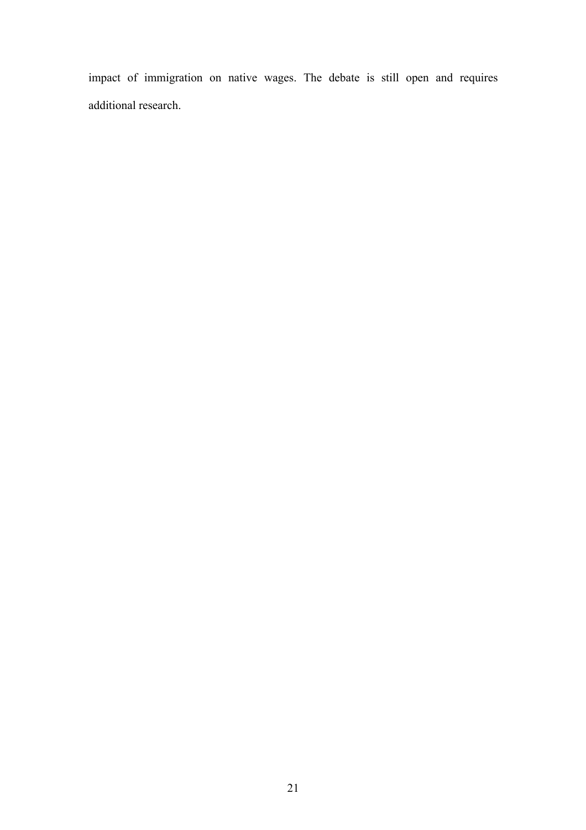impact of immigration on native wages. The debate is still open and requires additional research.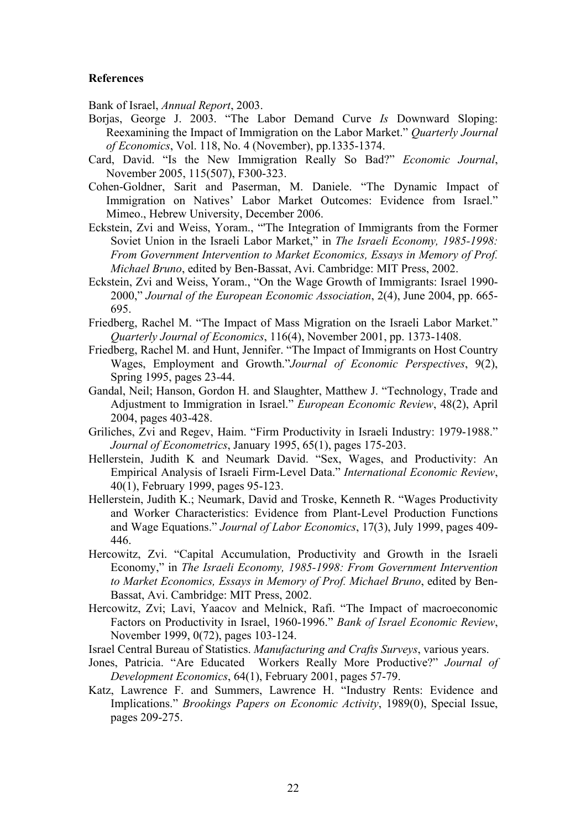## **References**

Bank of Israel, *Annual Report*, 2003.

- Borjas, George J. 2003. "The Labor Demand Curve *Is* Downward Sloping: Reexamining the Impact of Immigration on the Labor Market." *Quarterly Journal of Economics*, Vol. 118, No. 4 (November), pp.1335-1374.
- Card, David. "Is the New Immigration Really So Bad?" *Economic Journal*, November 2005, 115(507), F300-323.
- Cohen-Goldner, Sarit and Paserman, M. Daniele. "The Dynamic Impact of Immigration on Natives' Labor Market Outcomes: Evidence from Israel." Mimeo., Hebrew University, December 2006.
- Eckstein, Zvi and Weiss, Yoram., "'The Integration of Immigrants from the Former Soviet Union in the Israeli Labor Market," in *The Israeli Economy, 1985-1998: From Government Intervention to Market Economics, Essays in Memory of Prof. Michael Bruno*, edited by Ben-Bassat, Avi. Cambridge: MIT Press, 2002.
- Eckstein, Zvi and Weiss, Yoram., "On the Wage Growth of Immigrants: Israel 1990- 2000," *Journal of the European Economic Association*, 2(4), June 2004, pp. 665- 695.
- Friedberg, Rachel M. "The Impact of Mass Migration on the Israeli Labor Market." *Quarterly Journal of Economics*, 116(4), November 2001, pp. 1373-1408.
- Friedberg, Rachel M. and Hunt, Jennifer. "The Impact of Immigrants on Host Country Wages, Employment and Growth."*Journal of Economic Perspectives*, 9(2), Spring 1995, pages 23-44.
- Gandal, Neil; Hanson, Gordon H. and Slaughter, Matthew J. "Technology, Trade and Adjustment to Immigration in Israel." *European Economic Review*, 48(2), April 2004, pages 403-428.
- Griliches, Zvi and Regev, Haim. "Firm Productivity in Israeli Industry: 1979-1988." *Journal of Econometrics*, January 1995, 65(1), pages 175-203.
- Hellerstein, Judith K and Neumark David. "Sex, Wages, and Productivity: An Empirical Analysis of Israeli Firm-Level Data." *International Economic Review*, 40(1), February 1999, pages 95-123.
- Hellerstein, Judith K.; Neumark, David and Troske, Kenneth R. "Wages Productivity and Worker Characteristics: Evidence from Plant-Level Production Functions and Wage Equations." *Journal of Labor Economics*, 17(3), July 1999, pages 409- 446.
- Hercowitz, Zvi. "Capital Accumulation, Productivity and Growth in the Israeli Economy," in *The Israeli Economy, 1985-1998: From Government Intervention to Market Economics, Essays in Memory of Prof. Michael Bruno*, edited by Ben-Bassat, Avi. Cambridge: MIT Press, 2002.
- Hercowitz, Zvi; Lavi, Yaacov and Melnick, Rafi. "The Impact of macroeconomic Factors on Productivity in Israel, 1960-1996." *Bank of Israel Economic Review*, November 1999, 0(72), pages 103-124.
- Israel Central Bureau of Statistics. *Manufacturing and Crafts Surveys*, various years.
- Jones, Patricia. "Are Educated Workers Really More Productive?" *Journal of Development Economics*, 64(1), February 2001, pages 57-79.
- Katz, Lawrence F. and Summers, Lawrence H. "Industry Rents: Evidence and Implications." *Brookings Papers on Economic Activity*, 1989(0), Special Issue, pages 209-275.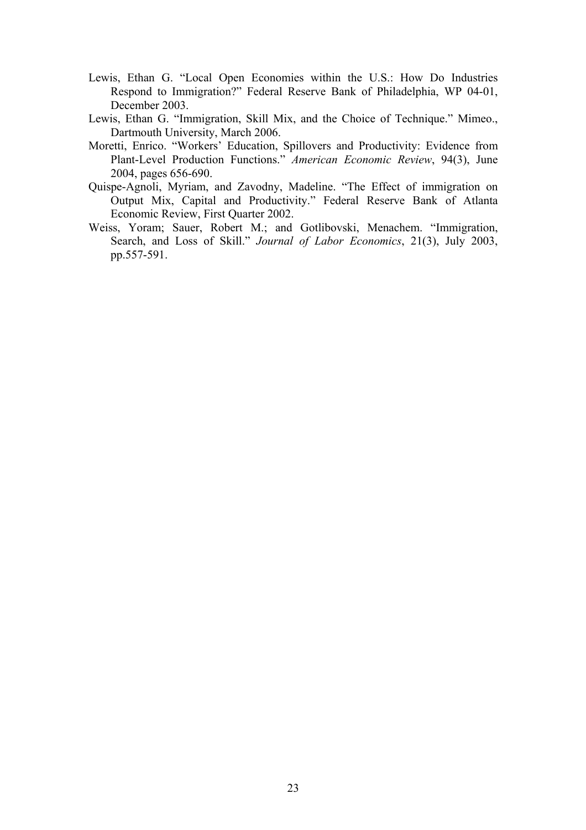- Lewis, Ethan G. "Local Open Economies within the U.S.: How Do Industries Respond to Immigration?" Federal Reserve Bank of Philadelphia, WP 04-01, December 2003.
- Lewis, Ethan G. "Immigration, Skill Mix, and the Choice of Technique." Mimeo., Dartmouth University, March 2006.
- Moretti, Enrico. "Workers' Education, Spillovers and Productivity: Evidence from Plant-Level Production Functions." *American Economic Review*, 94(3), June 2004, pages 656-690.
- Quispe-Agnoli, Myriam, and Zavodny, Madeline. "The Effect of immigration on Output Mix, Capital and Productivity." Federal Reserve Bank of Atlanta Economic Review, First Quarter 2002.
- Weiss, Yoram; Sauer, Robert M.; and Gotlibovski, Menachem. "Immigration, Search, and Loss of Skill." *Journal of Labor Economics*, 21(3), July 2003, pp.557-591.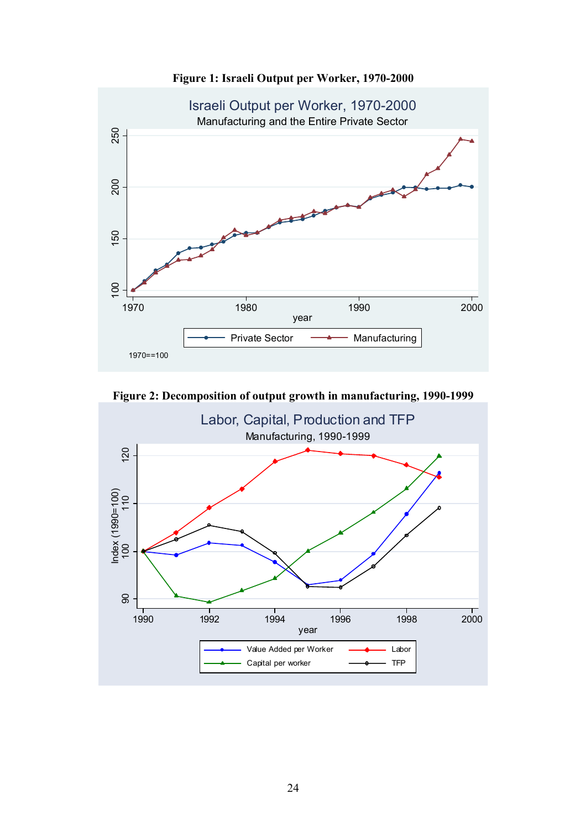

**Figure 1: Israeli Output per Worker, 1970-2000** 

**Figure 2: Decomposition of output growth in manufacturing, 1990-1999** 

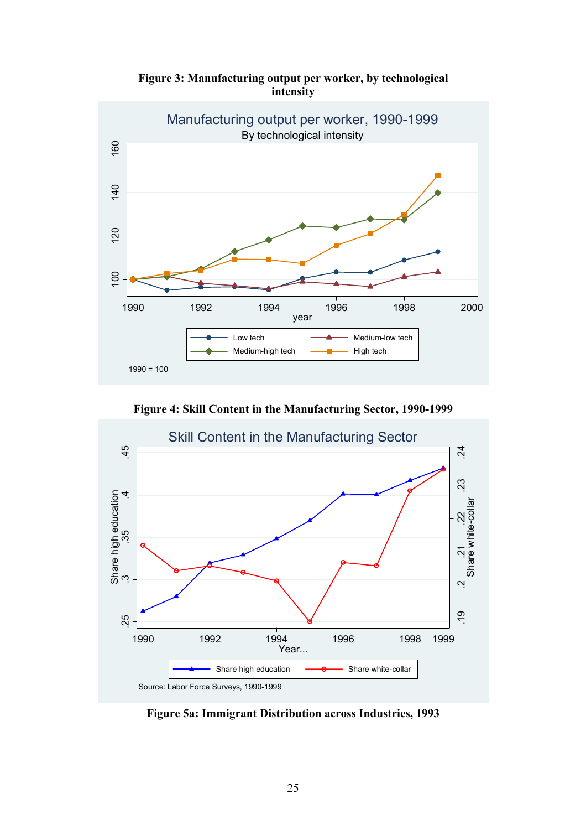

**Figure 3: Manufacturing output per worker, by technological intensity**

**Figure 4: Skill Content in the Manufacturing Sector, 1990-1999**



**Figure 5a: Immigrant Distribution across Industries, 1993**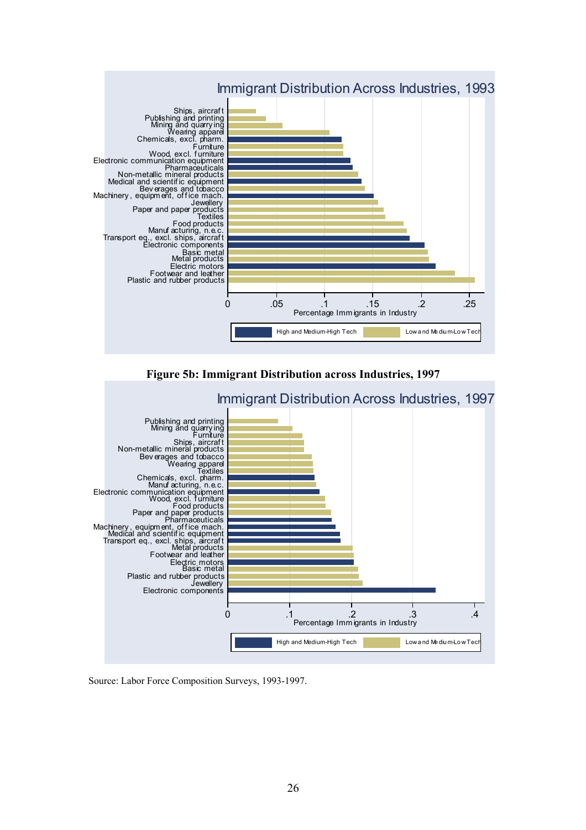

**Figure 5b: Immigrant Distribution across Industries, 1997** 



Source: Labor Force Composition Surveys, 1993-1997.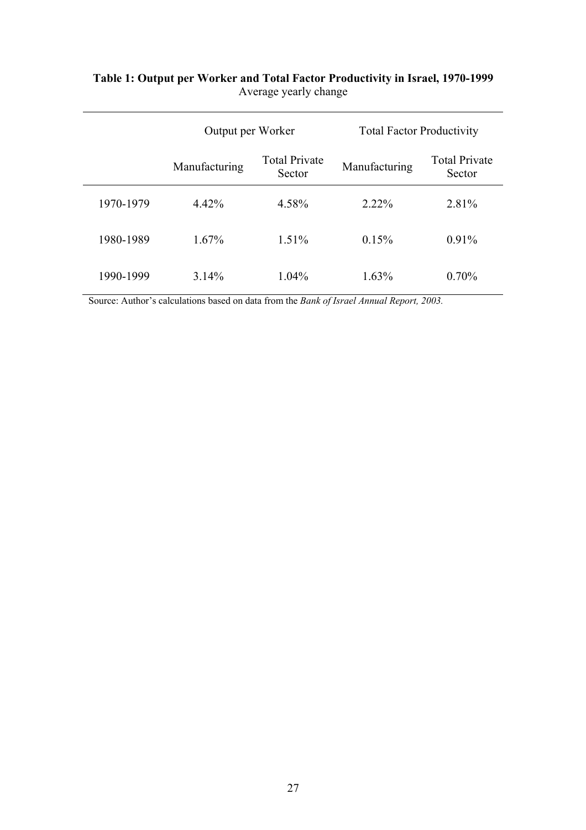|           | Output per Worker |                                | <b>Total Factor Productivity</b> |                                |
|-----------|-------------------|--------------------------------|----------------------------------|--------------------------------|
|           | Manufacturing     | <b>Total Private</b><br>Sector | Manufacturing                    | <b>Total Private</b><br>Sector |
| 1970-1979 | 4.42%             | 4.58%                          | $2.22\%$                         | 2.81%                          |
| 1980-1989 | $1.67\%$          | $1.51\%$                       | 0.15%                            | 0.91%                          |
| 1990-1999 | 3.14%             | $1.04\%$                       | $1.63\%$                         | $0.70\%$                       |

## **Table 1: Output per Worker and Total Factor Productivity in Israel, 1970-1999**  Average yearly change

Source: Author's calculations based on data from the *Bank of Israel Annual Report, 2003.*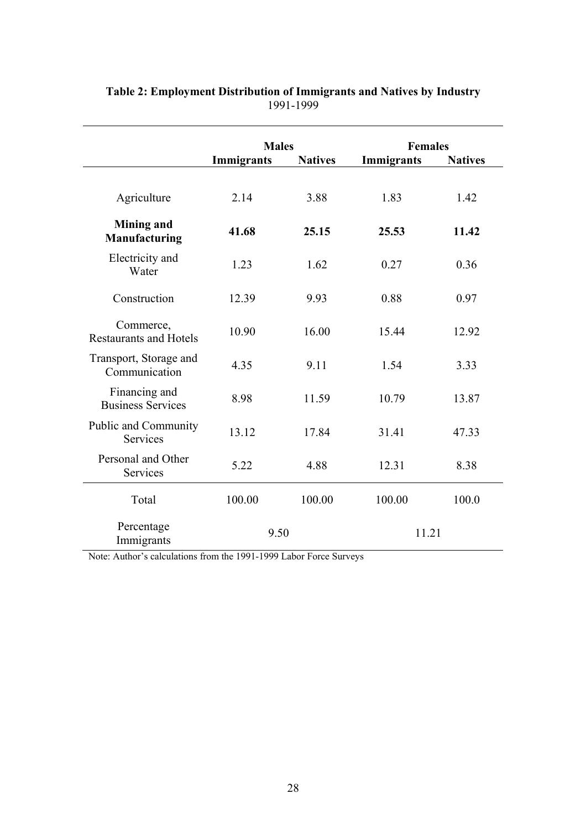|                                                | <b>Males</b> |                | <b>Females</b> |                |
|------------------------------------------------|--------------|----------------|----------------|----------------|
|                                                | Immigrants   | <b>Natives</b> | Immigrants     | <b>Natives</b> |
| Agriculture                                    | 2.14         | 3.88           | 1.83           | 1.42           |
| <b>Mining and</b><br>Manufacturing             | 41.68        | 25.15          | 25.53          | 11.42          |
| Electricity and<br>Water                       | 1.23         | 1.62           | 0.27           | 0.36           |
| Construction                                   | 12.39        | 9.93           | 0.88           | 0.97           |
| Commerce,<br><b>Restaurants and Hotels</b>     | 10.90        | 16.00          | 15.44          | 12.92          |
| Transport, Storage and<br>Communication        | 4.35         | 9.11           | 1.54           | 3.33           |
| Financing and<br><b>Business Services</b>      | 8.98         | 11.59          | 10.79          | 13.87          |
| <b>Public and Community</b><br><b>Services</b> | 13.12        | 17.84          | 31.41          | 47.33          |
| Personal and Other<br>Services                 | 5.22         | 4.88           | 12.31          | 8.38           |
| Total                                          | 100.00       | 100.00         | 100.00         | 100.0          |
| Percentage<br>Immigrants                       | 9.50         |                | 11.21          |                |

## **Table 2: Employment Distribution of Immigrants and Natives by Industry**  1991-1999

Note: Author's calculations from the 1991-1999 Labor Force Surveys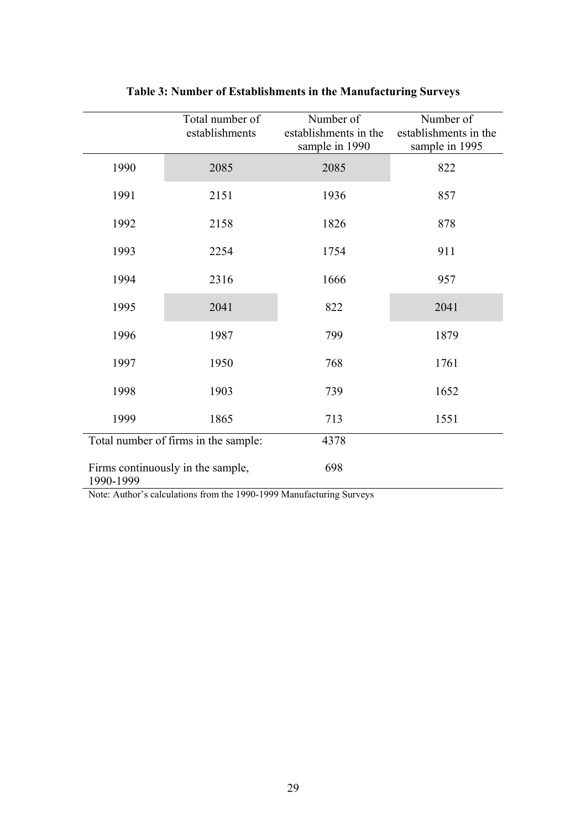|           | Total number of<br>establishments    | Number of<br>establishments in the<br>sample in 1990 | Number of<br>establishments in the<br>sample in 1995 |
|-----------|--------------------------------------|------------------------------------------------------|------------------------------------------------------|
| 1990      | 2085                                 | 2085                                                 | 822                                                  |
| 1991      | 2151                                 | 1936                                                 | 857                                                  |
| 1992      | 2158                                 | 1826                                                 | 878                                                  |
| 1993      | 2254                                 | 1754                                                 | 911                                                  |
| 1994      | 2316                                 | 1666                                                 | 957                                                  |
| 1995      | 2041                                 | 822                                                  | 2041                                                 |
| 1996      | 1987                                 | 799                                                  | 1879                                                 |
| 1997      | 1950                                 | 768                                                  | 1761                                                 |
| 1998      | 1903                                 | 739                                                  | 1652                                                 |
| 1999      | 1865                                 | 713                                                  | 1551                                                 |
|           | Total number of firms in the sample: | 4378                                                 |                                                      |
| 1990-1999 | Firms continuously in the sample,    | 698                                                  |                                                      |

**Table 3: Number of Establishments in the Manufacturing Surveys** 

Note: Author's calculations from the 1990-1999 Manufacturing Surveys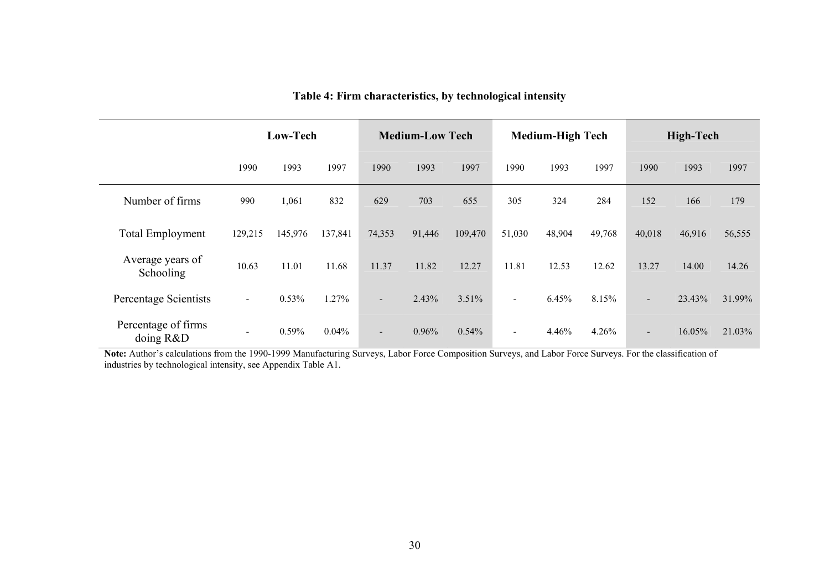|                                  |                | Low-Tech |         |                | <b>Medium-Low Tech</b> |          |        | <b>Medium-High Tech</b> |        |                          | <b>High-Tech</b> |        |
|----------------------------------|----------------|----------|---------|----------------|------------------------|----------|--------|-------------------------|--------|--------------------------|------------------|--------|
|                                  | 1990           | 1993     | 1997    | 1990           | 1993                   | 1997     | 1990   | 1993                    | 1997   | 1990                     | 1993             | 1997   |
| Number of firms                  | 990            | 1,061    | 832     | 629            | 703                    | 655      | 305    | 324                     | 284    | 152                      | 166              | 179    |
| <b>Total Employment</b>          | 129,215        | 145,976  | 137,841 | 74,353         | 91,446                 | 109,470  | 51,030 | 48,904                  | 49,768 | 40,018                   | 46,916           | 56,555 |
| Average years of<br>Schooling    | 10.63          | 11.01    | 11.68   | 11.37          | 11.82                  | 12.27    | 11.81  | 12.53                   | 12.62  | 13.27                    | 14.00            | 14.26  |
| Percentage Scientists            | $\sim$         | 0.53%    | 1.27%   | $\blacksquare$ | 2.43%                  | 3.51%    | $\sim$ | 6.45%                   | 8.15%  | $\blacksquare$           | 23.43%           | 31.99% |
| Percentage of firms<br>doing R&D | $\blacksquare$ | $0.59\%$ | 0.04%   | $\sim$         | 0.96%                  | $0.54\%$ | $\sim$ | 4.46%                   | 4.26%  | $\overline{\phantom{a}}$ | 16.05%           | 21.03% |

**Table 4: Firm characteristics, by technological intensity** 

Note: Author's calculations from the 1990-1999 Manufacturing Surveys, Labor Force Composition Surveys, and Labor Force Surveys. For the classification of industries by technological intensity, see Appendix Table A1.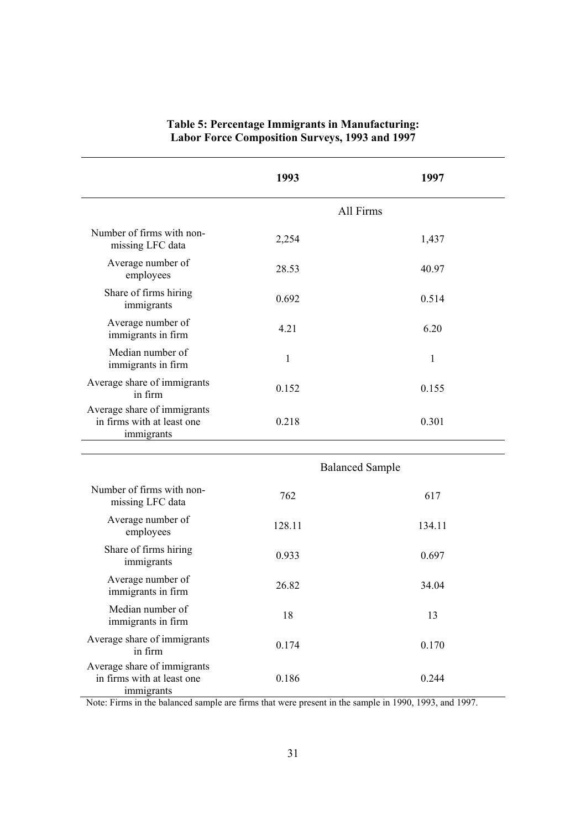|                                                                         | 1993   | 1997                   |
|-------------------------------------------------------------------------|--------|------------------------|
|                                                                         |        | All Firms              |
| Number of firms with non-<br>missing LFC data                           | 2,254  | 1,437                  |
| Average number of<br>employees                                          | 28.53  | 40.97                  |
| Share of firms hiring<br>immigrants                                     | 0.692  | 0.514                  |
| Average number of<br>immigrants in firm                                 | 4.21   | 6.20                   |
| Median number of<br>immigrants in firm                                  | 1      | 1                      |
| Average share of immigrants<br>in firm                                  | 0.152  | 0.155                  |
| Average share of immigrants<br>in firms with at least one<br>immigrants | 0.218  | 0.301                  |
|                                                                         |        |                        |
|                                                                         |        | <b>Balanced Sample</b> |
| Number of firms with non-<br>missing LFC data                           | 762    | 617                    |
| Average number of<br>employees                                          | 128.11 | 134.11                 |
| Share of firms hiring<br>immigrants                                     | 0.933  | 0.697                  |
| Average number of<br>immigrants in firm                                 | 26.82  | 34.04                  |
| Median number of<br>immigrants in firm                                  | 18     | 13                     |
| Average share of immigrants<br>in firm                                  | 0.174  | 0.170                  |
| Average share of immigrants<br>in firms with at least one<br>immigrants | 0.186  | 0.244                  |

## **Table 5: Percentage Immigrants in Manufacturing: Labor Force Composition Surveys, 1993 and 1997**

Note: Firms in the balanced sample are firms that were present in the sample in 1990, 1993, and 1997.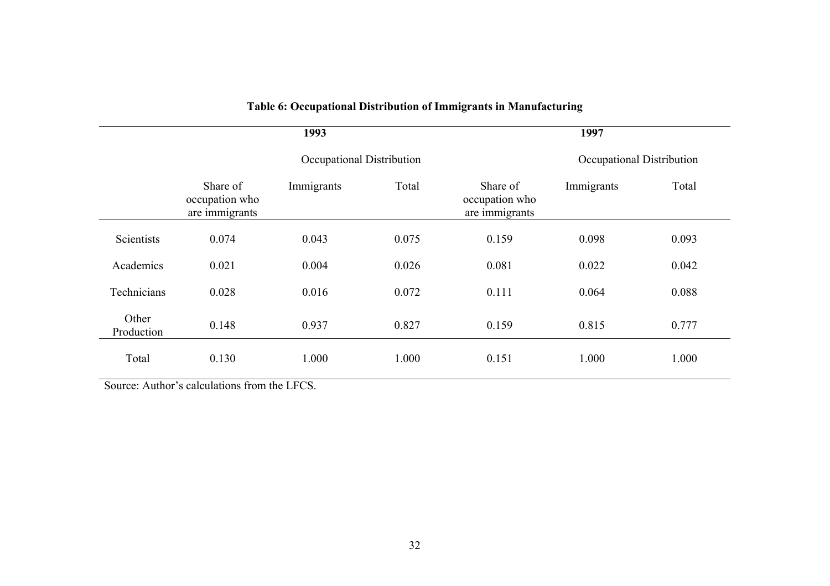|                     |                                              | 1993                      |       |                                              | 1997       |       |  |
|---------------------|----------------------------------------------|---------------------------|-------|----------------------------------------------|------------|-------|--|
|                     |                                              | Occupational Distribution |       | Occupational Distribution                    |            |       |  |
|                     | Share of<br>occupation who<br>are immigrants | Immigrants                | Total | Share of<br>occupation who<br>are immigrants | Immigrants | Total |  |
| Scientists          | 0.074                                        | 0.043                     | 0.075 | 0.159                                        | 0.098      | 0.093 |  |
| Academics           | 0.021                                        | 0.004                     | 0.026 | 0.081                                        | 0.022      | 0.042 |  |
| Technicians         | 0.028                                        | 0.016                     | 0.072 | 0.111                                        | 0.064      | 0.088 |  |
| Other<br>Production | 0.148                                        | 0.937                     | 0.827 | 0.159                                        | 0.815      | 0.777 |  |
| Total               | 0.130                                        | 1.000                     | 1.000 | 0.151                                        | 1.000      | 1.000 |  |

# **Table 6: Occupational Distribution of Immigrants in Manufacturing**

Source: Author's calculations from the LFCS.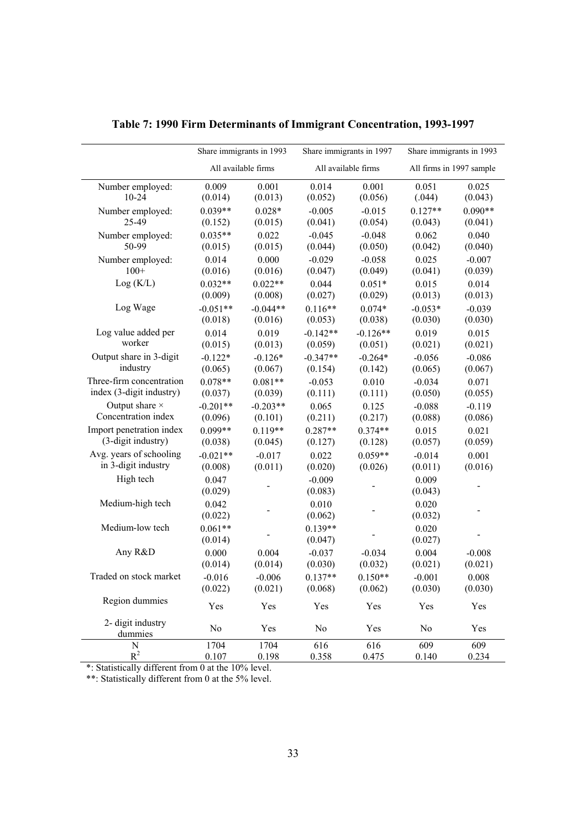|                              | Share immigrants in 1993 |            |                      | Share immigrants in 1997 |                  | Share immigrants in 1993 |
|------------------------------|--------------------------|------------|----------------------|--------------------------|------------------|--------------------------|
|                              | All available firms      |            |                      | All available firms      |                  | All firms in 1997 sample |
| Number employed:             | 0.009                    | 0.001      | 0.014                | 0.001                    | 0.051            | 0.025                    |
| $10 - 24$                    | (0.014)                  | (0.013)    | (0.052)              | (0.056)                  | (.044)           | (0.043)                  |
| Number employed:             | $0.039**$                | $0.028*$   | $-0.005$             | $-0.015$                 | $0.127**$        | $0.090**$                |
| 25-49                        | (0.152)                  | (0.015)    | (0.041)              | (0.054)                  | (0.043)          | (0.041)                  |
| Number employed:             | $0.035**$                | 0.022      | $-0.045$             | $-0.048$                 | 0.062            | 0.040                    |
| 50-99                        | (0.015)                  | (0.015)    | (0.044)              | (0.050)                  | (0.042)          | (0.040)                  |
| Number employed:             | 0.014                    | 0.000      | $-0.029$             | $-0.058$                 | 0.025            | $-0.007$                 |
| $100+$                       | (0.016)                  | (0.016)    | (0.047)              | (0.049)                  | (0.041)          | (0.039)                  |
| Log(K/L)                     | $0.032**$                | $0.022**$  | 0.044                | $0.051*$                 | 0.015            | 0.014                    |
|                              | (0.009)                  | (0.008)    | (0.027)              | (0.029)                  | (0.013)          | (0.013)                  |
| Log Wage                     | $-0.051**$               | $-0.044**$ | $0.116**$            | $0.074*$                 | $-0.053*$        | $-0.039$                 |
|                              | (0.018)                  | (0.016)    | (0.053)              | (0.038)                  | (0.030)          | (0.030)                  |
| Log value added per          | 0.014                    | 0.019      | $-0.142**$           | $-0.126**$               | 0.019            | 0.015                    |
| worker                       | (0.015)                  | (0.013)    | (0.059)              | (0.051)                  | (0.021)          | (0.021)                  |
| Output share in 3-digit      | $-0.122*$                | $-0.126*$  | $-0.347**$           | $-0.264*$                | $-0.056$         | $-0.086$                 |
| industry                     | (0.065)                  | (0.067)    | (0.154)              | (0.142)                  | (0.065)          | (0.067)                  |
| Three-firm concentration     | $0.078**$                | $0.081**$  | $-0.053$             | 0.010                    | $-0.034$         | 0.071                    |
| index (3-digit industry)     | (0.037)                  | (0.039)    | (0.111)              | (0.111)                  | (0.050)          | (0.055)                  |
| Output share $\times$        | $-0.201**$               | $-0.203**$ | 0.065                | 0.125                    | $-0.088$         | $-0.119$                 |
| Concentration index          | (0.096)                  | (0.101)    | (0.211)              | (0.217)                  | (0.088)          | (0.086)                  |
| Import penetration index     | $0.099**$                | $0.119**$  | $0.287**$            | $0.374**$                | 0.015            | 0.021                    |
| (3-digit industry)           | (0.038)                  | (0.045)    | (0.127)              | (0.128)                  | (0.057)          | (0.059)                  |
| Avg. years of schooling      | $-0.021**$               | $-0.017$   | 0.022                | $0.059**$                | $-0.014$         | 0.001                    |
| in 3-digit industry          | (0.008)                  | (0.011)    | (0.020)              | (0.026)                  | (0.011)          | (0.016)                  |
| High tech                    | 0.047<br>(0.029)         |            | $-0.009$<br>(0.083)  |                          | 0.009<br>(0.043) |                          |
| Medium-high tech             | 0.042<br>(0.022)         |            | 0.010<br>(0.062)     |                          | 0.020<br>(0.032) |                          |
| Medium-low tech              | $0.061**$<br>(0.014)     |            | $0.139**$<br>(0.047) |                          | 0.020<br>(0.027) |                          |
| Any R&D                      | 0.000                    | 0.004      | $-0.037$             | $-0.034$                 | 0.004            | $-0.008$                 |
|                              | (0.014)                  | (0.014)    | (0.030)              | (0.032)                  | (0.021)          | (0.021)                  |
| Traded on stock market       | $-0.016$                 | $-0.006$   | $0.137**$            | $0.150**$                | $-0.001$         | 0.008                    |
|                              | (0.022)                  | (0.021)    | (0.068)              | (0.062)                  | (0.030)          | (0.030)                  |
| Region dummies               | Yes                      | Yes        | Yes                  | Yes                      | Yes              | Yes                      |
| 2- digit industry<br>dummies | No                       | Yes        | N <sub>0</sub>       | Yes                      | N <sub>0</sub>   | Yes                      |
| N                            | 1704                     | 1704       | 616                  | 616                      | 609              | 609                      |
| $R^2$                        | 0.107                    | 0.198      | 0.358                | 0.475                    | 0.140            | 0.234                    |

**Table 7: 1990 Firm Determinants of Immigrant Concentration, 1993-1997** 

\*: Statistically different from 0 at the 10% level.

\*\*: Statistically different from 0 at the 5% level.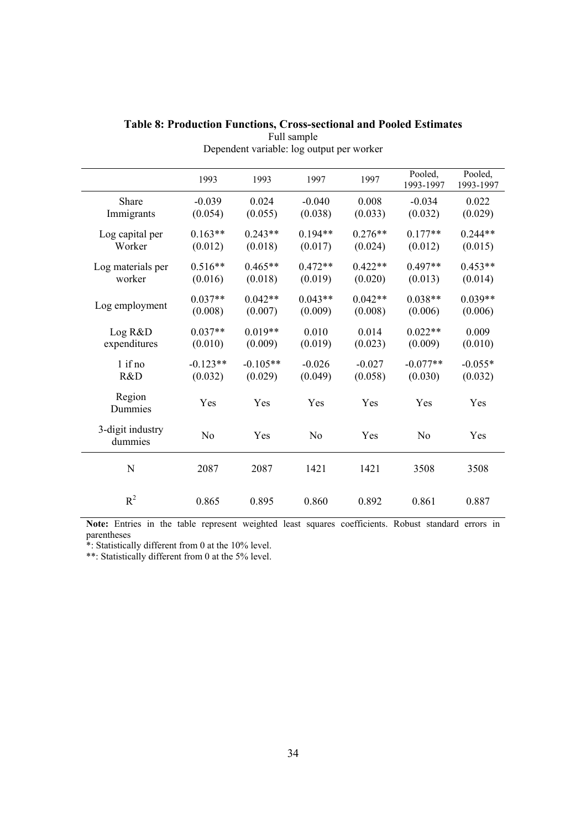|                   | 1993       | 1993       | 1997           | 1997      | Pooled,<br>1993-1997 | Pooled,<br>1993-1997 |
|-------------------|------------|------------|----------------|-----------|----------------------|----------------------|
| Share             | $-0.039$   | 0.024      | $-0.040$       | 0.008     | $-0.034$             | 0.022                |
| Immigrants        | (0.054)    | (0.055)    | (0.038)        | (0.033)   | (0.032)              | (0.029)              |
|                   |            |            |                |           |                      |                      |
| Log capital per   | $0.163**$  | $0.243**$  | $0.194**$      | $0.276**$ | $0.177**$            | $0.244**$            |
| Worker            | (0.012)    | (0.018)    | (0.017)        | (0.024)   | (0.012)              | (0.015)              |
| Log materials per | $0.516**$  | $0.465**$  | $0.472**$      | $0.422**$ | $0.497**$            | $0.453**$            |
| worker            | (0.016)    | (0.018)    | (0.019)        | (0.020)   | (0.013)              | (0.014)              |
|                   |            |            |                |           |                      |                      |
| Log employment    | $0.037**$  | $0.042**$  | $0.043**$      | $0.042**$ | $0.038**$            | $0.039**$            |
|                   | (0.008)    | (0.007)    | (0.009)        | (0.008)   | (0.006)              | (0.006)              |
| Log R&D           | $0.037**$  | $0.019**$  | 0.010          | 0.014     | $0.022**$            | 0.009                |
| expenditures      | (0.010)    | (0.009)    | (0.019)        | (0.023)   | (0.009)              | (0.010)              |
|                   |            |            |                |           |                      |                      |
| $1$ if no         | $-0.123**$ | $-0.105**$ | $-0.026$       | $-0.027$  | $-0.077**$           | $-0.055*$            |
| R&D               | (0.032)    | (0.029)    | (0.049)        | (0.058)   | (0.030)              | (0.032)              |
| Region            |            |            |                |           |                      |                      |
| Dummies           | Yes        | Yes        | Yes            | Yes       | Yes                  | Yes                  |
|                   |            |            |                |           |                      |                      |
| 3-digit industry  | No         | Yes        | N <sub>0</sub> | Yes       | N <sub>o</sub>       | Yes                  |
| dummies           |            |            |                |           |                      |                      |
|                   |            |            |                |           |                      |                      |
| N                 | 2087       | 2087       | 1421           | 1421      | 3508                 | 3508                 |
|                   |            |            |                |           |                      |                      |
| $R^2$             | 0.865      | 0.895      | 0.860          | 0.892     | 0.861                | 0.887                |
|                   |            |            |                |           |                      |                      |

### **Table 8: Production Functions, Cross-sectional and Pooled Estimates**  Full sample Dependent variable: log output per worker

Note: Entries in the table represent weighted least squares coefficients. Robust standard errors in parentheses

\*: Statistically different from 0 at the 10% level.

\*\*: Statistically different from 0 at the 5% level.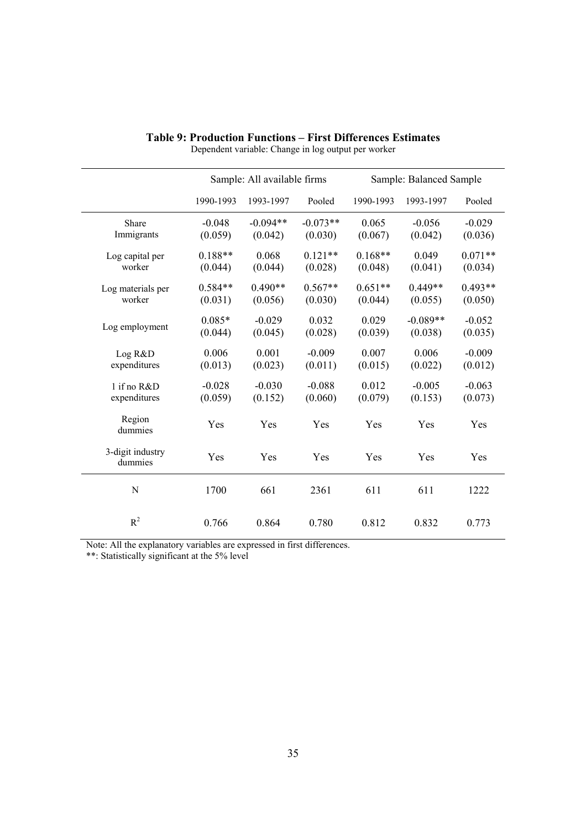|                             |           | Sample: All available firms |            |           | Sample: Balanced Sample |           |  |
|-----------------------------|-----------|-----------------------------|------------|-----------|-------------------------|-----------|--|
|                             | 1990-1993 | 1993-1997                   | Pooled     | 1990-1993 | 1993-1997               | Pooled    |  |
| Share                       | $-0.048$  | $-0.094**$                  | $-0.073**$ | 0.065     | $-0.056$                | $-0.029$  |  |
| Immigrants                  | (0.059)   | (0.042)                     | (0.030)    | (0.067)   | (0.042)                 | (0.036)   |  |
| Log capital per             | $0.188**$ | 0.068                       | $0.121**$  | $0.168**$ | 0.049                   | $0.071**$ |  |
| worker                      | (0.044)   | (0.044)                     | (0.028)    | (0.048)   | (0.041)                 | (0.034)   |  |
| Log materials per           | $0.584**$ | $0.490**$                   | $0.567**$  | $0.651**$ | $0.449**$               | $0.493**$ |  |
| worker                      | (0.031)   | (0.056)                     | (0.030)    | (0.044)   | (0.055)                 | (0.050)   |  |
| Log employment              | $0.085*$  | $-0.029$                    | 0.032      | 0.029     | $-0.089**$              | $-0.052$  |  |
|                             | (0.044)   | (0.045)                     | (0.028)    | (0.039)   | (0.038)                 | (0.035)   |  |
| Log R&D                     | 0.006     | 0.001                       | $-0.009$   | 0.007     | 0.006                   | $-0.009$  |  |
| expenditures                | (0.013)   | (0.023)                     | (0.011)    | (0.015)   | (0.022)                 | (0.012)   |  |
| 1 if no R&D                 | $-0.028$  | $-0.030$                    | $-0.088$   | 0.012     | $-0.005$                | $-0.063$  |  |
| expenditures                | (0.059)   | (0.152)                     | (0.060)    | (0.079)   | (0.153)                 | (0.073)   |  |
| Region<br>dummies           | Yes       | Yes                         | Yes        | Yes       | Yes                     | Yes       |  |
| 3-digit industry<br>dummies | Yes       | Yes                         | Yes        | Yes       | Yes                     | Yes       |  |
| N                           | 1700      | 661                         | 2361       | 611       | 611                     | 1222      |  |
| $R^2$                       | 0.766     | 0.864                       | 0.780      | 0.812     | 0.832                   | 0.773     |  |

#### **Table 9: Production Functions – First Differences Estimates**

Dependent variable: Change in log output per worker

Note: All the explanatory variables are expressed in first differences.

\*\*: Statistically significant at the 5% level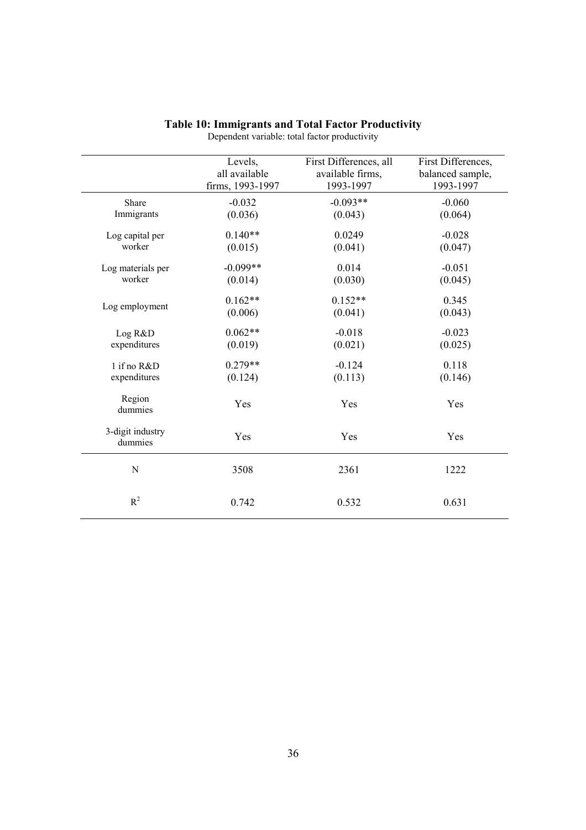|                             | Levels,          | First Differences, all | First Differences, |
|-----------------------------|------------------|------------------------|--------------------|
|                             | all available    | available firms,       | balanced sample,   |
|                             | firms, 1993-1997 | 1993-1997              | 1993-1997          |
| Share                       | $-0.032$         | $-0.093**$             | $-0.060$           |
| Immigrants                  | (0.036)          | (0.043)                | (0.064)            |
| Log capital per             | $0.140**$        | 0.0249                 | $-0.028$           |
| worker                      | (0.015)          | (0.041)                | (0.047)            |
| Log materials per           | $-0.099**$       | 0.014                  | $-0.051$           |
| worker                      | (0.014)          | (0.030)                | (0.045)            |
| Log employment              | $0.162**$        | $0.152**$              | 0.345              |
|                             | (0.006)          | (0.041)                | (0.043)            |
| Log R&D                     | $0.062**$        | $-0.018$               | $-0.023$           |
| expenditures                | (0.019)          | (0.021)                | (0.025)            |
| 1 if no R&D                 | $0.279**$        | $-0.124$               | 0.118              |
| expenditures                | (0.124)          | (0.113)                | (0.146)            |
| Region<br>dummies           | Yes              | Yes                    | Yes                |
| 3-digit industry<br>dummies | Yes              | Yes                    | Yes                |
| N                           | 3508             | 2361                   | 1222               |
| $R^2$                       | 0.742            | 0.532                  | 0.631              |

#### **Table 10: Immigrants and Total Factor Productivity**  Dependent variable: total factor productivity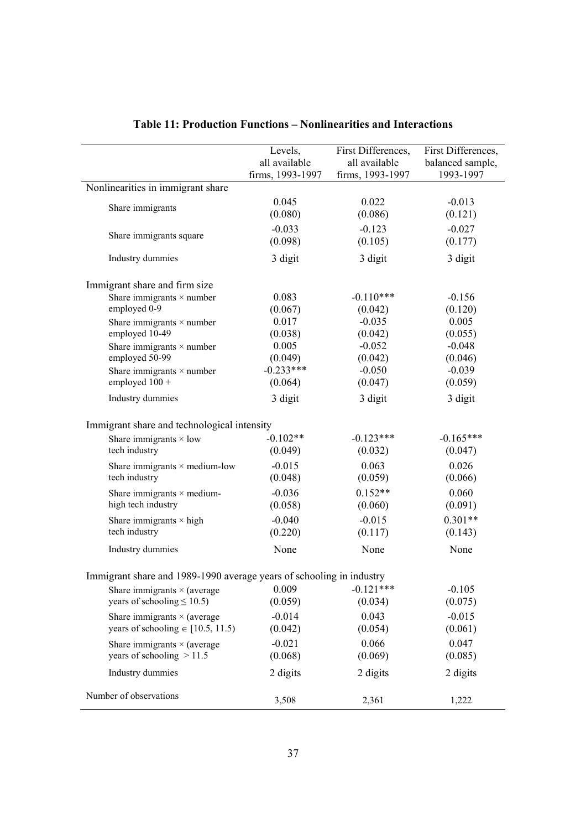|                                                                      | Levels,<br>all available | First Differences,<br>all available | First Differences,<br>balanced sample, |
|----------------------------------------------------------------------|--------------------------|-------------------------------------|----------------------------------------|
|                                                                      | firms, 1993-1997         | firms, 1993-1997                    | 1993-1997                              |
| Nonlinearities in immigrant share                                    |                          |                                     |                                        |
| Share immigrants                                                     | 0.045                    | 0.022                               | $-0.013$                               |
|                                                                      | (0.080)                  | (0.086)                             | (0.121)                                |
| Share immigrants square                                              | $-0.033$                 | $-0.123$                            | $-0.027$                               |
|                                                                      | (0.098)                  | (0.105)                             | (0.177)                                |
| Industry dummies                                                     | 3 digit                  | 3 digit                             | 3 digit                                |
| Immigrant share and firm size                                        |                          |                                     |                                        |
| Share immigrants $\times$ number                                     | 0.083                    | $-0.110***$                         | $-0.156$                               |
| employed 0-9                                                         | (0.067)                  | (0.042)                             | (0.120)                                |
| Share immigrants $\times$ number                                     | 0.017                    | $-0.035$                            | 0.005                                  |
| employed 10-49                                                       | (0.038)                  | (0.042)                             | (0.055)                                |
| Share immigrants $\times$ number                                     | 0.005                    | $-0.052$                            | $-0.048$                               |
| employed 50-99                                                       | (0.049)                  | (0.042)                             | (0.046)                                |
| Share immigrants $\times$ number                                     | $-0.233***$              | $-0.050$                            | $-0.039$                               |
| employed $100 +$                                                     | (0.064)                  | (0.047)                             | (0.059)                                |
| Industry dummies                                                     | 3 digit                  | 3 digit                             | 3 digit                                |
| Immigrant share and technological intensity                          |                          |                                     |                                        |
| Share immigrants $\times$ low                                        | $-0.102**$               | $-0.123***$                         | $-0.165***$                            |
| tech industry                                                        | (0.049)                  | (0.032)                             | (0.047)                                |
| Share immigrants $\times$ medium-low                                 | $-0.015$                 | 0.063                               | 0.026                                  |
| tech industry                                                        | (0.048)                  | (0.059)                             | (0.066)                                |
| Share immigrants $\times$ medium-                                    | $-0.036$                 | $0.152**$                           | 0.060                                  |
| high tech industry                                                   | (0.058)                  | (0.060)                             | (0.091)                                |
| Share immigrants $\times$ high                                       | $-0.040$                 | $-0.015$                            | $0.301**$                              |
| tech industry                                                        | (0.220)                  | (0.117)                             | (0.143)                                |
| Industry dummies                                                     | None                     | None                                | None                                   |
| Immigrant share and 1989-1990 average years of schooling in industry |                          |                                     |                                        |
| Share immigrants $\times$ (average                                   | 0.009                    | $-0.121***$                         | $-0.105$                               |
| years of schooling $\leq 10.5$ )                                     | (0.059)                  | (0.034)                             | (0.075)                                |
| Share immigrants $\times$ (average                                   | $-0.014$                 | 0.043                               | $-0.015$                               |
| years of schooling $\in$ [10.5, 11.5)                                | (0.042)                  | (0.054)                             | (0.061)                                |
|                                                                      | $-0.021$                 | 0.066                               | 0.047                                  |
| Share immigrants $\times$ (average<br>years of schooling $> 11.5$    | (0.068)                  | (0.069)                             | (0.085)                                |
|                                                                      |                          |                                     |                                        |
| Industry dummies                                                     | 2 digits                 | 2 digits                            | 2 digits                               |
| Number of observations                                               | 3,508                    | 2,361                               | 1,222                                  |

## **Table 11: Production Functions – Nonlinearities and Interactions**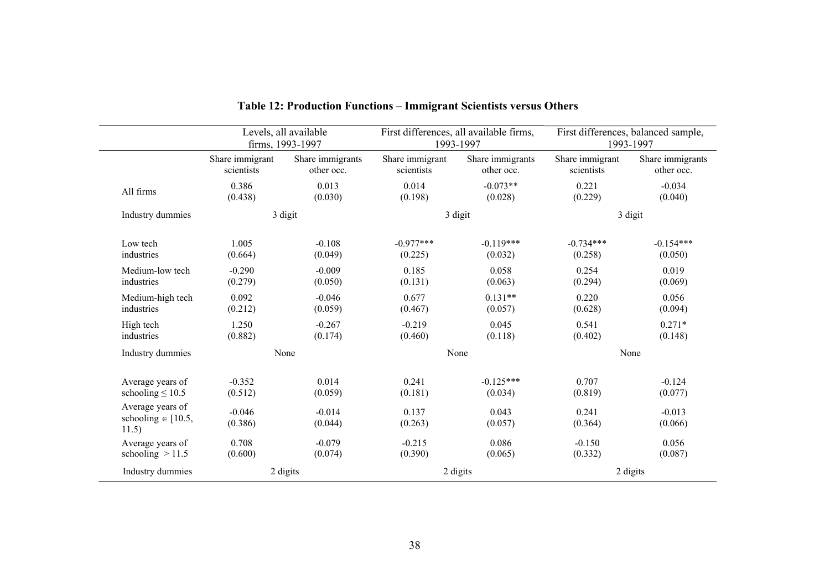|                                                     |                     | Levels, all available<br>firms, 1993-1997 |                  | First differences, all available firms,<br>1993-1997 |                  | First differences, balanced sample,<br>1993-1997 |
|-----------------------------------------------------|---------------------|-------------------------------------------|------------------|------------------------------------------------------|------------------|--------------------------------------------------|
|                                                     | Share immigrant     | Share immigrants                          | Share immigrant  | Share immigrants                                     | Share immigrant  | Share immigrants                                 |
|                                                     | scientists          | other occ.                                | scientists       | other occ.                                           | scientists       | other occ.                                       |
| All firms                                           | 0.386               | 0.013                                     | 0.014            | $-0.073**$                                           | 0.221            | $-0.034$                                         |
|                                                     | (0.438)             | (0.030)                                   | (0.198)          | (0.028)                                              | (0.229)          | (0.040)                                          |
| Industry dummies                                    |                     | 3 digit                                   |                  | 3 digit                                              |                  | 3 digit                                          |
| Low tech                                            | 1.005               | $-0.108$                                  | $-0.977***$      | $-0.119***$                                          | $-0.734***$      | $-0.154***$                                      |
| industries                                          | (0.664)             | (0.049)                                   | (0.225)          | (0.032)                                              | (0.258)          | (0.050)                                          |
| Medium-low tech                                     | $-0.290$            | $-0.009$                                  | 0.185            | 0.058                                                | 0.254            | 0.019                                            |
| industries                                          | (0.279)             | (0.050)                                   | (0.131)          | (0.063)                                              | (0.294)          | (0.069)                                          |
| Medium-high tech                                    | 0.092               | $-0.046$                                  | 0.677            | $0.131**$                                            | 0.220            | 0.056                                            |
| industries                                          | (0.212)             | (0.059)                                   | (0.467)          | (0.057)                                              | (0.628)          | (0.094)                                          |
| High tech                                           | 1.250               | $-0.267$                                  | $-0.219$         | 0.045                                                | 0.541            | $0.271*$                                         |
| industries                                          | (0.882)             | (0.174)                                   | (0.460)          | (0.118)                                              | (0.402)          | (0.148)                                          |
| Industry dummies                                    |                     | None                                      |                  | None                                                 |                  | None                                             |
| Average years of                                    | $-0.352$            | 0.014                                     | 0.241            | $-0.125***$                                          | 0.707            | $-0.124$                                         |
| schooling $\leq 10.5$                               | (0.512)             | (0.059)                                   | (0.181)          | (0.034)                                              | (0.819)          | (0.077)                                          |
| Average years of<br>schooling $\in$ [10.5,<br>11.5) | $-0.046$<br>(0.386) | $-0.014$<br>(0.044)                       | 0.137<br>(0.263) | 0.043<br>(0.057)                                     | 0.241<br>(0.364) | $-0.013$<br>(0.066)                              |
| Average years of                                    | 0.708               | $-0.079$                                  | $-0.215$         | 0.086                                                | $-0.150$         | 0.056                                            |
| schooling $>11.5$                                   | (0.600)             | (0.074)                                   | (0.390)          | (0.065)                                              | (0.332)          | (0.087)                                          |
| Industry dummies                                    |                     | 2 digits                                  |                  | 2 digits                                             |                  | 2 digits                                         |

# **Table 12: Production Functions – Immigrant Scientists versus Others**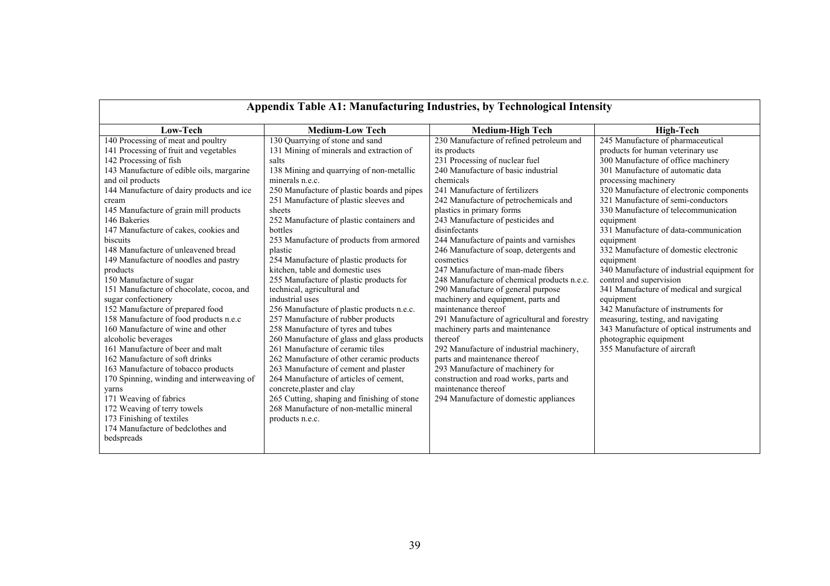| Appendix Table A1: Manufacturing Industries, by Technological Intensity |                                             |                                              |                                             |  |
|-------------------------------------------------------------------------|---------------------------------------------|----------------------------------------------|---------------------------------------------|--|
| Low-Tech                                                                | <b>Medium-Low Tech</b>                      | <b>Medium-High Tech</b>                      | <b>High-Tech</b>                            |  |
| 140 Processing of meat and poultry                                      | 130 Quarrying of stone and sand             | 230 Manufacture of refined petroleum and     | 245 Manufacture of pharmaceutical           |  |
| 141 Processing of fruit and vegetables                                  | 131 Mining of minerals and extraction of    | its products                                 | products for human veterinary use           |  |
| 142 Processing of fish                                                  | salts                                       | 231 Processing of nuclear fuel               | 300 Manufacture of office machinery         |  |
| 143 Manufacture of edible oils, margarine                               | 138 Mining and quarrying of non-metallic    | 240 Manufacture of basic industrial          | 301 Manufacture of automatic data           |  |
| and oil products                                                        | minerals n.e.c.                             | chemicals                                    | processing machinery                        |  |
| 144 Manufacture of dairy products and ice                               | 250 Manufacture of plastic boards and pipes | 241 Manufacture of fertilizers               | 320 Manufacture of electronic components    |  |
| cream                                                                   | 251 Manufacture of plastic sleeves and      | 242 Manufacture of petrochemicals and        | 321 Manufacture of semi-conductors          |  |
| 145 Manufacture of grain mill products                                  | sheets                                      | plastics in primary forms                    | 330 Manufacture of telecommunication        |  |
| 146 Bakeries                                                            | 252 Manufacture of plastic containers and   | 243 Manufacture of pesticides and            | equipment                                   |  |
| 147 Manufacture of cakes, cookies and                                   | bottles                                     | disinfectants                                | 331 Manufacture of data-communication       |  |
| biscuits                                                                | 253 Manufacture of products from armored    | 244 Manufacture of paints and varnishes      | equipment                                   |  |
| 148 Manufacture of unleavened bread                                     | plastic                                     | 246 Manufacture of soap, detergents and      | 332 Manufacture of domestic electronic      |  |
| 149 Manufacture of noodles and pastry                                   | 254 Manufacture of plastic products for     | cosmetics                                    | equipment                                   |  |
| products                                                                | kitchen, table and domestic uses            | 247 Manufacture of man-made fibers           | 340 Manufacture of industrial equipment for |  |
| 150 Manufacture of sugar                                                | 255 Manufacture of plastic products for     | 248 Manufacture of chemical products n.e.c.  | control and supervision                     |  |
| 151 Manufacture of chocolate, cocoa, and                                | technical, agricultural and                 | 290 Manufacture of general purpose           | 341 Manufacture of medical and surgical     |  |
| sugar confectionery                                                     | industrial uses                             | machinery and equipment, parts and           | equipment                                   |  |
| 152 Manufacture of prepared food                                        | 256 Manufacture of plastic products n.e.c.  | maintenance thereof                          | 342 Manufacture of instruments for          |  |
| 158 Manufacture of food products n.e.c                                  | 257 Manufacture of rubber products          | 291 Manufacture of agricultural and forestry | measuring, testing, and navigating          |  |
| 160 Manufacture of wine and other                                       | 258 Manufacture of tyres and tubes          | machinery parts and maintenance              | 343 Manufacture of optical instruments and  |  |
| alcoholic beverages                                                     | 260 Manufacture of glass and glass products | thereof                                      | photographic equipment                      |  |
| 161 Manufacture of beer and malt                                        | 261 Manufacture of ceramic tiles            | 292 Manufacture of industrial machinery,     | 355 Manufacture of aircraft                 |  |
| 162 Manufacture of soft drinks                                          | 262 Manufacture of other ceramic products   | parts and maintenance thereof                |                                             |  |
| 163 Manufacture of tobacco products                                     | 263 Manufacture of cement and plaster       | 293 Manufacture of machinery for             |                                             |  |
| 170 Spinning, winding and interweaving of                               | 264 Manufacture of articles of cement,      | construction and road works, parts and       |                                             |  |
| yarns                                                                   | concrete, plaster and clay                  | maintenance thereof                          |                                             |  |
| 171 Weaving of fabrics                                                  | 265 Cutting, shaping and finishing of stone | 294 Manufacture of domestic appliances       |                                             |  |
| 172 Weaving of terry towels                                             | 268 Manufacture of non-metallic mineral     |                                              |                                             |  |
| 173 Finishing of textiles                                               | products n.e.c.                             |                                              |                                             |  |
| 174 Manufacture of bedclothes and                                       |                                             |                                              |                                             |  |
| bedspreads                                                              |                                             |                                              |                                             |  |
|                                                                         |                                             |                                              |                                             |  |